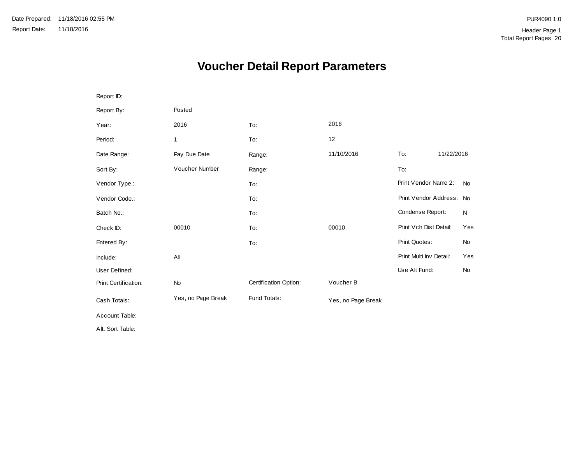# **Voucher Detail Report Parameters**

| Report ID:           |                    |                       |                    |                          |            |           |
|----------------------|--------------------|-----------------------|--------------------|--------------------------|------------|-----------|
| Report By:           | Posted             |                       |                    |                          |            |           |
| Year:                | 2016               | To:                   | 2016               |                          |            |           |
| Period:              | 1                  | To:                   | 12                 |                          |            |           |
| Date Range:          | Pay Due Date       | Range:                | 11/10/2016         | To:                      | 11/22/2016 |           |
| Sort By:             | Voucher Number     | Range:                |                    | To:                      |            |           |
| Vendor Type.:        |                    | To:                   |                    | Print Vendor Name 2:     |            | <b>No</b> |
| Vendor Code.:        |                    | To:                   |                    | Print Vendor Address: No |            |           |
| Batch No.:           |                    | To:                   |                    | Condense Report:         |            | N         |
| Check ID:            | 00010              | To:                   | 00010              | Print Vch Dist Detail:   |            | Yes       |
| Entered By:          |                    | To:                   |                    | Print Quotes:            |            | <b>No</b> |
| Include:             | All                |                       |                    | Print Multi Inv Detail:  |            | Yes       |
| User Defined:        |                    |                       |                    | Use Alt Fund:            |            | <b>No</b> |
| Print Certification: | No                 | Certification Option: | Voucher B          |                          |            |           |
| Cash Totals:         | Yes, no Page Break | Fund Totals:          | Yes, no Page Break |                          |            |           |
| Account Table:       |                    |                       |                    |                          |            |           |
| Alt. Sort Table:     |                    |                       |                    |                          |            |           |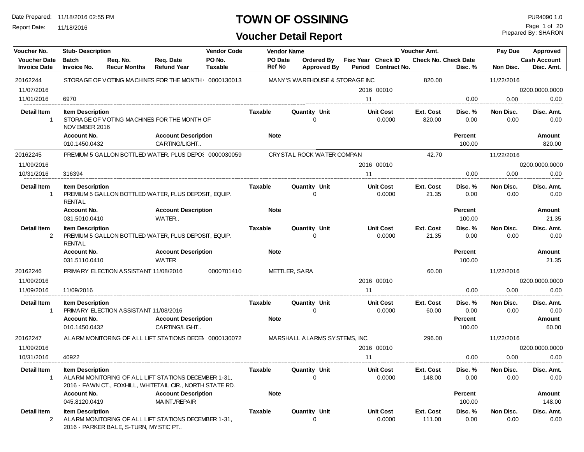Report Date: 11/18/2016

## **TOWN OF OSSINING**

| Voucher No.                          | <b>Stub- Description</b>                 |                                                      |                                                                                                                   | <b>Vendor Code</b> |                        | <b>Vendor Name</b>               |                                  |                                |                            | Voucher Amt.               |                             | Pay Due            | Approved                     |
|--------------------------------------|------------------------------------------|------------------------------------------------------|-------------------------------------------------------------------------------------------------------------------|--------------------|------------------------|----------------------------------|----------------------------------|--------------------------------|----------------------------|----------------------------|-----------------------------|--------------------|------------------------------|
| <b>Voucher Date</b>                  | <b>Batch</b>                             | Reg. No.                                             | Req. Date                                                                                                         | PO No.             | PO Date                |                                  | Ordered By                       |                                | Fisc Year Check ID         |                            | <b>Check No. Check Date</b> |                    | <b>Cash Account</b>          |
| <b>Invoice Date</b>                  | Invoice No.                              | <b>Recur Months</b>                                  | <b>Refund Year</b>                                                                                                | <b>Taxable</b>     | <b>Ref No</b>          |                                  | <b>Approved By</b>               |                                | Period Contract No.        |                            | Disc. %                     | Non Disc.          | Disc. Amt.                   |
| 20162244                             |                                          |                                                      | STORAGE OF VOTING MACHINES FOR THE MONTH 0000130013                                                               |                    |                        |                                  |                                  | MANY'S WAREHOUSE & STORAGE INC |                            | 820.00                     |                             | 11/22/2016         |                              |
| 11/07/2016                           |                                          |                                                      |                                                                                                                   |                    |                        |                                  |                                  |                                | 2016 00010                 |                            |                             |                    | 0200.0000.0000               |
| 11/01/2016                           | 6970                                     |                                                      |                                                                                                                   |                    |                        |                                  |                                  | 11                             |                            |                            | 0.00                        | 0.00               | 0.00                         |
| <b>Detail Item</b><br>$\overline{1}$ | <b>Item Description</b><br>NOVEMBER 2016 |                                                      | STORAGE OF VOTING MACHINES FOR THE MONTH OF                                                                       |                    | <b>Taxable</b>         |                                  | Quantity Unit<br>$\Omega$        |                                | <b>Unit Cost</b><br>0.0000 | Ext. Cost<br>820.00        | Disc. %<br>0.00             | Non Disc.<br>0.00  | Disc. Amt.<br>0.00           |
|                                      | Account No.                              |                                                      | <b>Account Description</b>                                                                                        |                    | <b>Note</b>            |                                  |                                  |                                |                            |                            | <b>Percent</b>              |                    | Amount                       |
|                                      | 010.1450.0432                            |                                                      | CARTING/LIGHT                                                                                                     |                    |                        |                                  |                                  |                                |                            |                            | 100.00                      |                    | 820.00                       |
| 20162245                             |                                          |                                                      | PREMIUM 5 GALLON BOTTLED WATER. PLUS DEPO: 0000030059                                                             |                    |                        |                                  | CRYSTAL ROCK WATER COMPAN        |                                |                            | 42.70                      |                             | 11/22/2016         |                              |
| 11/09/2016                           |                                          |                                                      |                                                                                                                   |                    |                        |                                  |                                  |                                | 2016 00010                 |                            |                             |                    | 0200.0000.0000               |
| 10/31/2016                           | 316394                                   |                                                      |                                                                                                                   |                    |                        |                                  |                                  | 11                             |                            |                            | 0.00                        | 0.00               | 0.00                         |
| <b>Detail Item</b><br>$\overline{1}$ | <b>Item Description</b><br><b>RENTAL</b> |                                                      | PREMIUM 5 GALLON BOTTLED WATER, PLUS DEPOSIT, EQUIP.                                                              |                    | <b>Taxable</b>         |                                  | <b>Quantity Unit</b><br>$\Omega$ |                                | <b>Unit Cost</b><br>0.0000 | <b>Ext. Cost</b><br>21.35  | Disc. %<br>0.00             | Non Disc.<br>0.00  | Disc. Amt.<br>0.00           |
|                                      | Account No.                              |                                                      | <b>Account Description</b>                                                                                        |                    | <b>Note</b>            |                                  |                                  |                                |                            |                            | <b>Percent</b>              |                    | Amount                       |
|                                      | 031.5010.0410                            |                                                      | WATER                                                                                                             |                    |                        |                                  |                                  |                                |                            |                            | 100.00                      |                    | 21.35                        |
| <b>Detail Item</b><br>2              | <b>Item Description</b><br><b>RENTAL</b> | PREMIUM 5 GALLON BOTTLED WATER, PLUS DEPOSIT, EQUIP. |                                                                                                                   | <b>Taxable</b>     |                        | <b>Quantity Unit</b><br>$\Omega$ |                                  | <b>Unit Cost</b><br>0.0000     | Ext. Cost<br>21.35         | Disc. %<br>0.00            | Non Disc.<br>0.00           | Disc. Amt.<br>0.00 |                              |
|                                      | <b>Account No.</b>                       |                                                      | <b>Account Description</b>                                                                                        |                    | <b>Note</b>            |                                  |                                  |                                |                            |                            | <b>Percent</b>              |                    | Amount                       |
|                                      | 031.5110.0410                            |                                                      | <b>WATER</b>                                                                                                      |                    |                        |                                  |                                  |                                |                            |                            | 100.00                      |                    | 21.35                        |
| 20162246                             |                                          | PRIMARY FI FCTION ASSISTANT 11/08/2016               |                                                                                                                   | 0000701410         |                        | METTLER, SARA                    |                                  |                                |                            | 60.00                      |                             | 11/22/2016         |                              |
| 11/09/2016                           |                                          |                                                      |                                                                                                                   |                    |                        |                                  |                                  |                                | 2016 00010                 |                            |                             |                    | 0200.0000.0000               |
| 11/09/2016                           | 11/09/2016                               |                                                      |                                                                                                                   |                    |                        |                                  |                                  | 11                             |                            |                            | 0.00                        | 0.00               | 0.00                         |
| <b>Detail Item</b><br>$\overline{1}$ | <b>Item Description</b><br>Account No.   | PRIMARY ELECTION ASSISTANT 11/08/2016                | <b>Account Description</b>                                                                                        |                    | Taxable<br><b>Note</b> |                                  | <b>Quantity Unit</b><br>$\Omega$ |                                | <b>Unit Cost</b><br>0.0000 | Ext. Cost<br>60.00         | Disc. %<br>0.00<br>Percent  | Non Disc.<br>0.00  | Disc. Amt.<br>0.00<br>Amount |
|                                      | 010.1450.0432                            |                                                      | CARTING/LIGHT                                                                                                     |                    |                        |                                  |                                  |                                |                            |                            | 100.00                      |                    | 60.00                        |
| 20162247                             |                                          |                                                      | AI ARM MONITORING OF ALL LIFT STATIONS DECEN 0000130072                                                           |                    |                        |                                  | MARSHALL ALARMS SYSTEMS, INC.    |                                |                            | 296.00                     |                             | 11/22/2016         |                              |
| 11/09/2016                           |                                          |                                                      |                                                                                                                   |                    |                        |                                  |                                  |                                | 2016 00010                 |                            |                             |                    | 0200.0000.0000               |
| 10/31/2016                           | 40922                                    |                                                      |                                                                                                                   |                    |                        |                                  |                                  | 11                             |                            |                            | 0.00                        | 0.00               | 0.00                         |
| <b>Detail Item</b><br>$\overline{1}$ | <b>Item Description</b>                  |                                                      | ALARM MONITORING OF ALL LIFT STATIONS DECEMBER 1-31,<br>2016 - FAWN CT., FOXHILL, WHITETAIL CIR., NORTH STATE RD. |                    | <b>Taxable</b>         |                                  | <b>Quantity Unit</b><br>$\Omega$ |                                | <b>Unit Cost</b><br>0.0000 | Ext. Cost<br>148.00        | Disc. %<br>0.00             | Non Disc.<br>0.00  | Disc. Amt.<br>0.00           |
|                                      | Account No.<br>045.8120.0419             |                                                      | <b>Account Description</b><br>MAINT./REPAIR                                                                       |                    | <b>Note</b>            |                                  |                                  |                                |                            |                            | <b>Percent</b><br>100.00    |                    | <b>Amount</b><br>148.00      |
| <b>Detail Item</b><br>2              | <b>Item Description</b>                  | 2016 - PARKER BALE, S-TURN, MY STIC PT               | ALARM MONITORING OF ALL LIFT STATIONS DECEMBER 1-31,                                                              |                    | <b>Taxable</b>         |                                  | <b>Quantity Unit</b><br>$\Omega$ |                                | <b>Unit Cost</b><br>0.0000 | <b>Ext. Cost</b><br>111.00 | Disc. %<br>0.00             | Non Disc.<br>0.00  | Disc. Amt.<br>0.00           |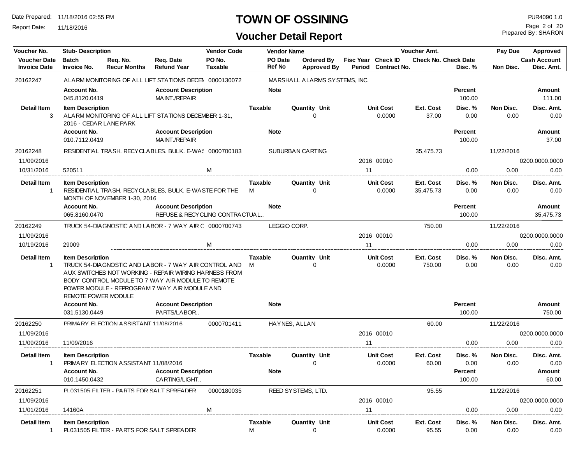Report Date: 11/18/2016

## **TOWN OF OSSINING PUR4090 1.0**

Prepared By: SHARON Page 2 of 20

| Voucher No.                                |                                                | <b>Vendor Code</b><br><b>Stub-Description</b> |                                                                                                                                                                                                                       |                          |                     | <b>Vendor Name</b> |                                         |                    |                            | Voucher Amt.                |                   | Pay Due           | Approved                          |
|--------------------------------------------|------------------------------------------------|-----------------------------------------------|-----------------------------------------------------------------------------------------------------------------------------------------------------------------------------------------------------------------------|--------------------------|---------------------|--------------------|-----------------------------------------|--------------------|----------------------------|-----------------------------|-------------------|-------------------|-----------------------------------|
| <b>Voucher Date</b><br><b>Invoice Date</b> | <b>Batch</b><br>Invoice No.                    | Reg. No.<br><b>Recur Months</b>               | Req. Date<br><b>Refund Year</b>                                                                                                                                                                                       | PO No.<br><b>Taxable</b> | <b>Ref No</b>       | <b>PO</b> Date     | <b>Ordered By</b><br><b>Approved By</b> | Fisc Year Check ID | Period Contract No.        | <b>Check No. Check Date</b> | Disc. %           | Non Disc.         | <b>Cash Account</b><br>Disc. Amt. |
| 20162247                                   |                                                |                                               | ALARM MONITORING OF ALL LIFT STATIONS DECEN 0000130072                                                                                                                                                                |                          |                     |                    | MARSHALL ALARMS SYSTEMS, INC.           |                    |                            |                             |                   |                   |                                   |
|                                            | Account No.                                    |                                               | <b>Account Description</b>                                                                                                                                                                                            |                          | <b>Note</b>         |                    |                                         |                    |                            |                             | Percent           |                   | Amount                            |
|                                            | 045.8120.0419                                  |                                               | MAINT./REPAIR                                                                                                                                                                                                         |                          |                     |                    |                                         |                    |                            |                             | 100.00            |                   | 111.00                            |
| Detail Item                                | <b>Item Description</b>                        |                                               |                                                                                                                                                                                                                       |                          | <b>Taxable</b>      |                    | <b>Quantity Unit</b>                    |                    | <b>Unit Cost</b>           | Ext. Cost                   | Disc. %           | Non Disc.         | Disc. Amt.                        |
| 3                                          |                                                | 2016 - CEDAR LANE PARK                        | ALARM MONITORING OF ALL LIFT STATIONS DECEMBER 1-31,                                                                                                                                                                  |                          |                     |                    | $\Omega$                                |                    | 0.0000                     | 37.00                       | 0.00              | 0.00              | 0.00                              |
|                                            | Account No.                                    |                                               | <b>Account Description</b>                                                                                                                                                                                            |                          | <b>Note</b>         |                    |                                         |                    |                            |                             | Percent           |                   | Amount                            |
|                                            | 010.7112.0419                                  |                                               | MAINT./REPAIR                                                                                                                                                                                                         |                          |                     |                    |                                         |                    |                            |                             | 100.00            |                   | 37.00                             |
| 20162248                                   |                                                |                                               | RESIDENTIAL TRASH. RECYCLABLES. BULK. E-WAS 0000700183                                                                                                                                                                |                          |                     |                    | SUBURBAN CARTING                        |                    |                            | 35,475.73                   |                   | 11/22/2016        |                                   |
| 11/09/2016                                 |                                                |                                               |                                                                                                                                                                                                                       |                          |                     |                    |                                         |                    | 2016 00010                 |                             |                   |                   | 0200.0000.0000                    |
| 10/31/2016                                 | 520511                                         |                                               |                                                                                                                                                                                                                       | M                        |                     |                    |                                         | 11                 |                            |                             | 0.00              | 0.00              | 0.00                              |
| <b>Detail Item</b>                         | <b>Item Description</b>                        |                                               |                                                                                                                                                                                                                       |                          | <b>Taxable</b>      |                    | Quantity Unit                           |                    | <b>Unit Cost</b>           | Ext. Cost                   | Disc. %           | Non Disc.         | Disc. Amt.                        |
| $\mathbf{1}$                               |                                                | MONTH OF NOVEMBER 1-30, 2016                  | RESIDENTIAL TRASH, RECYCLABLES, BULK, E-WASTE FOR THE                                                                                                                                                                 |                          | M                   |                    | $\Omega$                                |                    | 0.0000                     | 35,475.73                   | 0.00              | 0.00              | 0.00                              |
|                                            | Account No.                                    |                                               | <b>Account Description</b>                                                                                                                                                                                            |                          | <b>Note</b>         |                    |                                         |                    |                            |                             | Percent           |                   | Amount                            |
|                                            | 065.8160.0470                                  |                                               | REFUSE & RECYCLING CONTRACTUAL                                                                                                                                                                                        |                          |                     |                    |                                         |                    |                            |                             | 100.00            |                   | 35,475.73                         |
| 20162249                                   |                                                |                                               | TRUCK 54-DIAGNOSTIC AND LABOR - 7 WAY AIR C 0000700743                                                                                                                                                                |                          |                     | LEGGIO CORP.       |                                         |                    |                            | 750.00                      |                   | 11/22/2016        |                                   |
| 11/09/2016                                 |                                                |                                               |                                                                                                                                                                                                                       |                          |                     |                    |                                         |                    | 2016 00010                 |                             |                   |                   | 0200.0000.0000                    |
| 10/19/2016                                 | 29009                                          |                                               |                                                                                                                                                                                                                       | м                        |                     |                    |                                         | 11                 |                            |                             | 0.00              | 0.00              | 0.00                              |
| <b>Detail Item</b><br>$\mathbf{1}$         | <b>Item Description</b><br>REMOTE POWER MODULE |                                               | TRUCK 54-DIA GNOSTIC AND LABOR - 7 WAY AIR CONTROL AND<br>AUX SWITCHES NOT WORKING - REPAIR WIRING HARNESS FROM<br>BODY CONTROL MODULE TO 7 WAY AIR MODULE TO REMOTE<br>POWER MODULE - REPROGRAM 7 WAY AIR MODULE AND |                          | <b>Taxable</b><br>M |                    | Quantity Unit<br>$\mathbf 0$            |                    | <b>Unit Cost</b><br>0.0000 | Ext. Cost<br>750.00         | Disc. %<br>0.00   | Non Disc.<br>0.00 | Disc. Amt.<br>0.00                |
|                                            | Account No.<br>031.5130.0449                   |                                               | <b>Account Description</b><br>PARTS/LABOR                                                                                                                                                                             |                          | <b>Note</b>         |                    |                                         |                    |                            |                             | Percent<br>100.00 |                   | <b>Amount</b><br>750.00           |
| 20162250                                   |                                                | PRIMARY FI FCTION ASSISTANT 11/08/2016        |                                                                                                                                                                                                                       | 0000701411               |                     |                    | HAYNES, ALLAN                           |                    |                            | 60.00                       |                   | 11/22/2016        |                                   |
| 11/09/2016                                 |                                                |                                               |                                                                                                                                                                                                                       |                          |                     |                    |                                         |                    | 2016 00010                 |                             |                   |                   | 0200.0000.0000                    |
| 11/09/2016                                 | 11/09/2016                                     |                                               |                                                                                                                                                                                                                       |                          |                     |                    |                                         | 11                 |                            |                             | 0.00              | 0.00              | 0.00                              |
| <b>Detail Item</b><br>$\mathbf{1}$         | <b>Item Description</b>                        | PRIMARY ELECTION ASSISTANT 11/08/2016         |                                                                                                                                                                                                                       |                          | <b>Taxable</b>      |                    | <b>Quantity Unit</b><br>$\Omega$        |                    | <b>Unit Cost</b><br>0.0000 | <b>Ext. Cost</b><br>60.00   | Disc. %<br>0.00   | Non Disc.<br>0.00 | Disc. Amt.<br>0.00                |
|                                            | Account No.                                    |                                               | <b>Account Description</b>                                                                                                                                                                                            |                          | <b>Note</b>         |                    |                                         |                    |                            |                             | Percent           |                   | Amount                            |
|                                            | 010.1450.0432                                  |                                               | CARTING/LIGHT                                                                                                                                                                                                         |                          |                     |                    |                                         |                    |                            |                             | 100.00            |                   | 60.00                             |
| 20162251                                   |                                                | PL031505 FILTER - PARTS FOR SALT SPREADER     |                                                                                                                                                                                                                       | 0000180035               |                     |                    | REED SYSTEMS, LTD.                      |                    |                            | 95.55                       |                   | 11/22/2016        |                                   |
| 11/09/2016                                 |                                                |                                               |                                                                                                                                                                                                                       |                          |                     |                    |                                         |                    | 2016 00010                 |                             |                   |                   | 0200.0000.0000                    |
| 11/01/2016                                 | 14160A                                         |                                               |                                                                                                                                                                                                                       | M                        |                     |                    |                                         | 11                 |                            |                             | 0.00              | 0.00              | 0.00                              |
| Detail Item                                | <b>Item Description</b>                        |                                               |                                                                                                                                                                                                                       |                          | <b>Taxable</b>      |                    | <b>Quantity Unit</b>                    |                    | <b>Unit Cost</b>           | Ext. Cost                   | Disc. %           | Non Disc.         | Disc. Amt.                        |
| -1                                         |                                                | PL031505 FILTER - PARTS FOR SALT SPREADER     |                                                                                                                                                                                                                       |                          | M                   |                    | $\mathbf 0$                             |                    | 0.0000                     | 95.55                       | 0.00              | 0.00              | 0.00                              |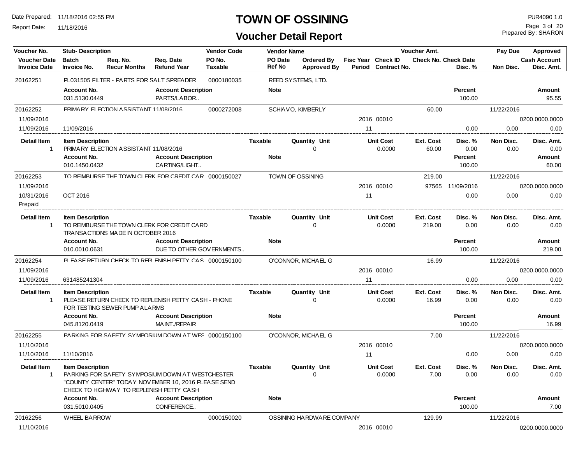Report Date: 11/18/2016

#### **TOWN OF OSSINING PUR4090 1.0**

**Voucher Detail Report**

Prepared By: SHARON Page 3 of 20

| Voucher No.              | <b>Stub- Description</b>     |                                                                                                                                                                                                       |                                                                                                                                                     | <b>Vendor Code</b> |                | <b>Vendor Name</b> |                           |                    |                            | <b>Voucher Amt.</b>         |                   | Pay Due           | <b>Approved</b>     |
|--------------------------|------------------------------|-------------------------------------------------------------------------------------------------------------------------------------------------------------------------------------------------------|-----------------------------------------------------------------------------------------------------------------------------------------------------|--------------------|----------------|--------------------|---------------------------|--------------------|----------------------------|-----------------------------|-------------------|-------------------|---------------------|
| <b>Voucher Date</b>      | <b>Batch</b>                 | Req. No.                                                                                                                                                                                              | Req. Date                                                                                                                                           | PO No.             |                | PO Date            | Ordered By                | Fisc Year Check ID |                            | <b>Check No. Check Date</b> |                   |                   | <b>Cash Account</b> |
| <b>Invoice Date</b>      | <b>Invoice No.</b>           | <b>Recur Months</b>                                                                                                                                                                                   | <b>Refund Year</b>                                                                                                                                  | <b>Taxable</b>     |                | <b>Ref No</b>      | <b>Approved By</b>        |                    | Period Contract No.        |                             | Disc. %           | Non Disc.         | Disc. Amt.          |
| 20162251                 |                              | PL031505 FILTER - PARTS FOR SALT SPREADER                                                                                                                                                             |                                                                                                                                                     | 0000180035         |                |                    | REED SYSTEMS, LTD.        |                    |                            |                             |                   |                   |                     |
|                          | Account No.                  |                                                                                                                                                                                                       | <b>Account Description</b>                                                                                                                          |                    |                | <b>Note</b>        |                           |                    |                            |                             | Percent           |                   | Amount              |
|                          | 031.5130.0449                |                                                                                                                                                                                                       | PARTS/LABOR                                                                                                                                         |                    |                |                    |                           |                    |                            |                             | 100.00            |                   | 95.55               |
| 20162252                 |                              | PRIMARY ELECTION ASSISTANT 11/08/2016                                                                                                                                                                 |                                                                                                                                                     | 0000272008         |                |                    | SCHIAVO, KIMBERLY         |                    |                            | 60.00                       |                   | 11/22/2016        |                     |
| 11/09/2016               |                              |                                                                                                                                                                                                       |                                                                                                                                                     |                    |                |                    |                           |                    | 2016 00010                 |                             |                   |                   | 0200.0000.0000      |
| 11/09/2016               | 11/09/2016                   |                                                                                                                                                                                                       |                                                                                                                                                     |                    |                |                    |                           | 11                 |                            |                             | 0.00              | 0.00              | 0.00                |
| <b>Detail Item</b><br>-1 | <b>Item Description</b>      | PRIMARY ELECTION ASSISTANT 11/08/2016                                                                                                                                                                 |                                                                                                                                                     |                    | Taxable        |                    | <b>Quantity Unit</b><br>0 |                    | <b>Unit Cost</b><br>0.0000 | Ext. Cost<br>60.00          | Disc. %<br>0.00   | Non Disc.<br>0.00 | Disc. Amt.<br>0.00  |
|                          | Account No.                  |                                                                                                                                                                                                       | <b>Account Description</b>                                                                                                                          |                    |                | <b>Note</b>        |                           |                    |                            |                             | Percent           |                   | <b>Amount</b>       |
|                          | 010.1450.0432                |                                                                                                                                                                                                       | CARTING/LIGHT                                                                                                                                       |                    |                |                    |                           |                    |                            |                             | 100.00            |                   | 60.00               |
| 20162253                 |                              |                                                                                                                                                                                                       | TO REIMBLIRSE THE TOWN CI FRK FOR CREDIT CAR 0000150027                                                                                             |                    |                |                    | TOWN OF OSSINING          |                    |                            | 219.00                      |                   | 11/22/2016        |                     |
| 11/09/2016               |                              |                                                                                                                                                                                                       |                                                                                                                                                     |                    |                |                    |                           |                    | 2016 00010                 | 97565                       | 11/09/2016        |                   | 0200.0000.0000      |
| 10/31/2016               | OCT 2016                     |                                                                                                                                                                                                       |                                                                                                                                                     |                    |                |                    |                           | 11                 |                            |                             | 0.00              | 0.00              | 0.00                |
| Prepaid                  |                              |                                                                                                                                                                                                       |                                                                                                                                                     |                    |                |                    |                           |                    |                            |                             |                   |                   |                     |
| <b>Detail Item</b><br>-1 | <b>Item Description</b>      |                                                                                                                                                                                                       |                                                                                                                                                     |                    | Taxable        |                    | Quantity Unit<br>$\Omega$ |                    | <b>Unit Cost</b><br>0.0000 | Ext. Cost<br>219.00         | Disc. %<br>0.00   | Non Disc.<br>0.00 | Disc. Amt.<br>0.00  |
|                          | Account No.<br>010.0010.0631 | TO REIMBURSE THE TOWN CLERK FOR CREDIT CARD<br>TRANSACTIONS MADE IN OCTOBER 2016<br><b>Account Description</b><br>DUE TO OTHER GOVERNMENTS<br>PI FASE RETURN CHECK TO REPI FNISH PETTY CAS 0000150100 |                                                                                                                                                     |                    |                | <b>Note</b>        |                           |                    |                            |                             | Percent<br>100.00 |                   | Amount<br>219.00    |
| 20162254                 |                              |                                                                                                                                                                                                       |                                                                                                                                                     |                    |                |                    | O'CONNOR, MICHAEL G       |                    |                            | 16.99                       |                   | 11/22/2016        |                     |
| 11/09/2016               |                              |                                                                                                                                                                                                       |                                                                                                                                                     |                    |                |                    |                           |                    | 2016 00010                 |                             |                   |                   | 0200.0000.0000      |
| 11/09/2016               | 631485241304                 |                                                                                                                                                                                                       |                                                                                                                                                     |                    |                |                    |                           | 11                 |                            |                             | 0.00              | 0.00              | 0.00                |
| <b>Detail Item</b><br>-1 | <b>Item Description</b>      | FOR TESTING SEWER PUMP ALARMS                                                                                                                                                                         | PLEASE RETURN CHECK TO REPLENISH PETTY CASH - PHONE                                                                                                 |                    | <b>Taxable</b> |                    | <b>Quantity Unit</b><br>O |                    | <b>Unit Cost</b><br>0.0000 | Ext. Cost<br>16.99          | Disc. %<br>0.00   | Non Disc.<br>0.00 | Disc. Amt.<br>0.00  |
|                          | Account No.                  |                                                                                                                                                                                                       | <b>Account Description</b>                                                                                                                          |                    |                | <b>Note</b>        |                           |                    |                            |                             | Percent           |                   | Amount              |
|                          | 045.8120.0419                |                                                                                                                                                                                                       | MAINT./REPAIR                                                                                                                                       |                    |                |                    |                           |                    |                            |                             | 100.00            |                   | 16.99               |
| 20162255                 |                              |                                                                                                                                                                                                       | PARKING FOR SAFFTY SYMPOSILIM DOWN AT WFS 0000150100                                                                                                |                    |                |                    | O'CONNOR, MICHAEL G       |                    |                            | 7.00                        |                   | 11/22/2016        |                     |
| 11/10/2016               |                              |                                                                                                                                                                                                       |                                                                                                                                                     |                    |                |                    |                           |                    | 2016 00010                 |                             |                   |                   | 0200.0000.0000      |
| 11/10/2016               | 11/10/2016                   |                                                                                                                                                                                                       |                                                                                                                                                     |                    |                |                    |                           | 11                 |                            |                             | 0.00              | 0.00              | 0.00                |
| <b>Detail Item</b><br>-1 | <b>Item Description</b>      |                                                                                                                                                                                                       | PARKING FOR SAFETY SYMPOSIUM DOWN AT WESTCHESTER<br>"COUNTY CENTER" TODAY NOVEMBER 10, 2016 PLEASE SEND<br>CHECK TO HIGHWAY TO REPLENISH PETTY CASH |                    | <b>Taxable</b> |                    | Quantity Unit<br>0        |                    | <b>Unit Cost</b><br>0.0000 | Ext. Cost<br>7.00           | Disc. %<br>0.00   | Non Disc.<br>0.00 | Disc. Amt.<br>0.00  |
|                          | Account No.                  |                                                                                                                                                                                                       | <b>Account Description</b>                                                                                                                          |                    |                | <b>Note</b>        |                           |                    |                            |                             | Percent           |                   | Amount              |
|                          | 031.5010.0405                |                                                                                                                                                                                                       | CONFERENCE                                                                                                                                          |                    |                |                    |                           |                    |                            |                             | 100.00            |                   | 7.00                |
| 20162256                 | <b>WHEEL BARROW</b>          |                                                                                                                                                                                                       |                                                                                                                                                     | 0000150020         |                |                    | OSSINING HARDWARE COMPANY |                    |                            | 129.99                      |                   | 11/22/2016        |                     |
| 11/10/2016               |                              |                                                                                                                                                                                                       |                                                                                                                                                     |                    |                |                    |                           |                    | 2016 00010                 |                             |                   |                   | 0200.0000.0000      |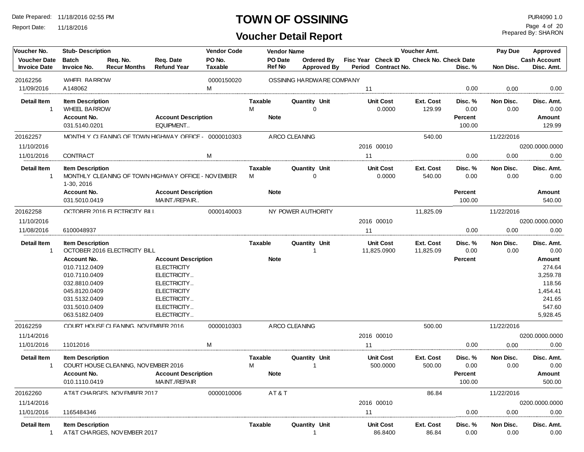Report Date: 11/18/2016

## **TOWN OF OSSINING PUR4090 1.0**

**Voucher Detail Report**

Prepared By: SHARON Page 4 of 20

| Voucher No.                                | <b>Stub-Description</b>                        |                                     |                                                        | <b>Vendor Code</b>       |                     | <b>Vendor Name</b> |                                  |    |                                           | Voucher Amt.           |                   | Pay Due           | Approved                          |
|--------------------------------------------|------------------------------------------------|-------------------------------------|--------------------------------------------------------|--------------------------|---------------------|--------------------|----------------------------------|----|-------------------------------------------|------------------------|-------------------|-------------------|-----------------------------------|
| <b>Voucher Date</b><br><b>Invoice Date</b> | <b>Batch</b><br>Invoice No.                    | Req. No.<br><b>Recur Months</b>     | Req. Date<br><b>Refund Year</b>                        | PO No.<br><b>Taxable</b> |                     | PO Date<br>Ref No  | Ordered By<br><b>Approved By</b> |    | Fisc Year Check ID<br>Period Contract No. | Check No. Check Date   | Disc. %           | Non Disc.         | <b>Cash Account</b><br>Disc. Amt. |
| 20162256                                   | <b>WHEEL BARROW</b>                            |                                     |                                                        | 0000150020               |                     |                    | OSSINING HARDWARE COMPANY        |    |                                           |                        |                   |                   |                                   |
| 11/09/2016                                 | A148062                                        |                                     |                                                        | м                        |                     |                    |                                  | 11 |                                           |                        | 0.00              | 0.00              | 0.00                              |
| <b>Detail Item</b><br>$\mathbf{1}$         | <b>Item Description</b><br><b>WHEEL BARROW</b> |                                     |                                                        |                          | Taxable<br>М        |                    | Quantity Unit<br>$\Omega$        |    | <b>Unit Cost</b><br>0.0000                | Ext. Cost<br>129.99    | Disc. %<br>0.00   | Non Disc.<br>0.00 | Disc. Amt.<br>0.00                |
|                                            | Account No.<br>031.5140.0201                   |                                     | <b>Account Description</b><br>EQUIPMENT                |                          |                     | <b>Note</b>        |                                  |    |                                           |                        | Percent<br>100.00 |                   | <b>Amount</b><br>129.99           |
| 20162257                                   |                                                |                                     | MONTHI Y CI FANING OF TOWN HIGHWAY OFFICE - 0000010303 |                          |                     | A RCO CLEANING     |                                  |    |                                           | 540.00                 |                   | 11/22/2016        |                                   |
| 11/10/2016                                 |                                                |                                     |                                                        |                          |                     |                    |                                  |    | 2016 00010                                |                        |                   |                   | 0200.0000.0000                    |
| 11/01/2016                                 | <b>CONTRACT</b>                                |                                     |                                                        | м                        |                     |                    |                                  | 11 |                                           |                        | 0.00              | 0.00              | 0.00                              |
| Detail Item<br>-1                          | <b>Item Description</b><br>1-30, 2016          |                                     | MONTHLY CLEANING OF TOWN HIGHWAY OFFICE - NOVEMBER     |                          | <b>Taxable</b><br>M |                    | <b>Quantity Unit</b><br>$\Omega$ |    | <b>Unit Cost</b><br>0.0000                | Ext. Cost<br>540.00    | Disc. %<br>0.00   | Non Disc.<br>0.00 | Disc. Amt.<br>0.00                |
|                                            | Account No.<br>031.5010.0419                   |                                     | <b>Account Description</b><br>MAINT./REPAIR            |                          |                     | <b>Note</b>        |                                  |    |                                           |                        | Percent<br>100.00 |                   | <b>Amount</b><br>540.00           |
| 20162258                                   |                                                | OCTOBER 2016 FLECTRICITY BILL       |                                                        | 0000140003               |                     |                    | NY POWER AUTHORITY               |    |                                           | 11,825.09              |                   | 11/22/2016        |                                   |
| 11/10/2016                                 |                                                |                                     |                                                        |                          |                     |                    |                                  |    | 2016 00010                                |                        |                   |                   | 0200.0000.0000                    |
| 11/08/2016                                 | 6100048937                                     |                                     |                                                        |                          |                     |                    |                                  | 11 |                                           |                        | 0.00              | 0.00              | 0.00                              |
| <b>Detail Item</b><br>1                    | <b>Item Description</b>                        | OCTOBER 2016 ELECTRICITY BILL       |                                                        |                          | Taxable             |                    | Quantity Unit<br>-1              |    | <b>Unit Cost</b><br>11,825.0900           | Ext. Cost<br>11,825.09 | Disc. %<br>0.00   | Non Disc.<br>0.00 | Disc. Amt.<br>0.00                |
|                                            | Account No.                                    |                                     | <b>Account Description</b>                             |                          |                     | <b>Note</b>        |                                  |    |                                           |                        | Percent           |                   | <b>Amount</b>                     |
|                                            | 010.7112.0409                                  |                                     | <b>ELECTRICITY</b>                                     |                          |                     |                    |                                  |    |                                           |                        |                   |                   | 274.64                            |
|                                            | 010.7110.0409                                  |                                     | ELECTRICITY                                            |                          |                     |                    |                                  |    |                                           |                        |                   |                   | 3,259.78                          |
|                                            | 032.8810.0409                                  |                                     | ELECTRICITY                                            |                          |                     |                    |                                  |    |                                           |                        |                   |                   | 118.56                            |
|                                            | 045.8120.0409<br>031.5132.0409                 |                                     | <b>ELECTRICITY</b><br>ELECTRICITY                      |                          |                     |                    |                                  |    |                                           |                        |                   |                   | 1,454.41<br>241.65                |
|                                            | 031.5010.0409                                  |                                     | ELECTRICITY                                            |                          |                     |                    |                                  |    |                                           |                        |                   |                   | 547.60                            |
|                                            | 063.5182.0409                                  |                                     | ELECTRICITY                                            |                          |                     |                    |                                  |    |                                           |                        |                   |                   | 5,928.45                          |
| 20162259                                   |                                                | COURT HOUSE CLEANING. NOVEMBER 2016 |                                                        | 0000010303               |                     | A RCO CLEANING     |                                  |    |                                           | 500.00                 |                   | 11/22/2016        |                                   |
| 11/14/2016                                 |                                                |                                     |                                                        |                          |                     |                    |                                  |    | 2016 00010                                |                        |                   |                   | 0200.0000.0000                    |
| 11/01/2016                                 | 11012016                                       |                                     |                                                        | M                        |                     |                    |                                  | 11 |                                           |                        | 0.00              | 0.00              | 0.00                              |
| <b>Detail Item</b><br>1                    | <b>Item Description</b>                        | COURT HOUSE CLEANING, NOVEMBER 2016 |                                                        |                          | Taxable<br>М        |                    | <b>Quantity Unit</b>             |    | <b>Unit Cost</b><br>500.0000              | Ext. Cost<br>500.00    | Disc. %<br>0.00   | Non Disc.<br>0.00 | Disc. Amt.<br>0.00                |
|                                            | <b>Account No.</b>                             |                                     | <b>Account Description</b>                             |                          |                     | <b>Note</b>        |                                  |    |                                           |                        | <b>Percent</b>    |                   | <b>Amount</b>                     |
|                                            | 010.1110.0419                                  |                                     | MAINT./REPAIR                                          |                          |                     |                    |                                  |    |                                           |                        | 100.00            |                   | 500.00                            |
| 20162260                                   |                                                | AT&T CHARGES. NOVEMBER 2017         |                                                        | 0000010006               |                     | AT&T               |                                  |    |                                           | 86.84                  |                   | 11/22/2016        |                                   |
| 11/14/2016                                 |                                                |                                     |                                                        |                          |                     |                    |                                  |    | 2016 00010                                |                        |                   |                   | 0200.0000.0000                    |
| 11/01/2016                                 | 1165484346                                     |                                     |                                                        |                          |                     |                    |                                  | 11 |                                           |                        | 0.00              | 0.00              | 0.00                              |
| Detail Item                                | <b>Item Description</b>                        | AT&T CHARGES, NOVEMBER 2017         |                                                        |                          | Taxable             |                    | Quantity Unit                    |    | <b>Unit Cost</b><br>86.8400               | Ext. Cost<br>86.84     | Disc. %<br>0.00   | Non Disc.<br>0.00 | Disc. Amt.<br>0.00                |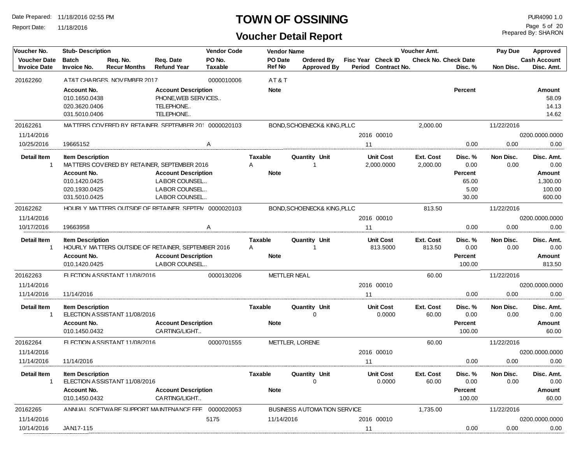Report Date: 11/18/2016

#### **TOWN OF OSSINING PUR4090 1.0**

| Voucher No.                                | <b>Vendor Code</b><br><b>Stub-Description</b>                                                    |                                 |                                                                                                                              |                          |                                    | <b>Vendor Name</b>  |                                     |        |                                    | <b>Voucher Amt.</b>         |                                                      | Pay Due           | Approved                                                     |
|--------------------------------------------|--------------------------------------------------------------------------------------------------|---------------------------------|------------------------------------------------------------------------------------------------------------------------------|--------------------------|------------------------------------|---------------------|-------------------------------------|--------|------------------------------------|-----------------------------|------------------------------------------------------|-------------------|--------------------------------------------------------------|
| <b>Voucher Date</b><br><b>Invoice Date</b> | <b>Batch</b><br>Invoice No.                                                                      | Req. No.<br><b>Recur Months</b> | Req. Date<br><b>Refund Year</b>                                                                                              | PO No.<br><b>Taxable</b> | Ref No                             | PO Date             | Ordered By<br><b>Approved By</b>    | Period | Fisc Year Check ID<br>Contract No. | <b>Check No. Check Date</b> | Disc. %                                              | Non Disc.         | <b>Cash Account</b><br>Disc. Amt.                            |
| 20162260                                   |                                                                                                  | AT&T CHARGES. NOVEMBER 2017     |                                                                                                                              | 0000010006               |                                    | AT&T                |                                     |        |                                    |                             |                                                      |                   |                                                              |
|                                            | <b>Account No.</b><br>010.1650.0438<br>020.3620.0406<br>031.5010.0406                            |                                 | <b>Account Description</b><br>PHONE, WEB SERVICES<br>TELEPHONE<br>TELEPHONE                                                  |                          | <b>Note</b>                        |                     |                                     |        |                                    |                             | Percent                                              |                   | Amount<br>58.09<br>14.13<br>14.62                            |
| 20162261                                   |                                                                                                  |                                 | MATTERS COVERED BY RETAINER. SEPTEMBER 201 0000020103                                                                        |                          |                                    |                     | BOND, SCHOENECK& KING, PLLC         |        |                                    | 2,000.00                    |                                                      | 11/22/2016        |                                                              |
| 11/14/2016                                 |                                                                                                  |                                 |                                                                                                                              |                          |                                    |                     |                                     |        | 2016 00010                         |                             |                                                      |                   | 0200.0000.0000                                               |
| 10/25/2016                                 | 19665152                                                                                         |                                 |                                                                                                                              | Α                        |                                    |                     |                                     | 11     |                                    |                             | 0.00                                                 | 0.00              | 0.00                                                         |
| <b>Detail Item</b><br>$\mathbf{1}$         | <b>Item Description</b><br><b>Account No.</b><br>010.1420.0425<br>020.1930.0425<br>031.5010.0425 |                                 | MATTERS COVERED BY RETAINER, SEPTEMBER 2016<br><b>Account Description</b><br>LABOR COUNSEL<br>LABOR COUNSEL<br>LABOR COUNSEL |                          | <b>Taxable</b><br>A<br><b>Note</b> |                     | Quantity Unit<br>-1                 |        | <b>Unit Cost</b><br>2,000.0000     | Ext. Cost<br>2,000.00       | Disc. %<br>0.00<br>Percent<br>65.00<br>5.00<br>30.00 | Non Disc.<br>0.00 | Disc. Amt.<br>0.00<br>Amount<br>1,300.00<br>100.00<br>600.00 |
| 20162262                                   |                                                                                                  |                                 | HOURLY MATTERS OUTSIDE OF RETAINER. SEPTEN 0000020103                                                                        |                          |                                    |                     | BOND, SCHOENECK& KING, PLLC         |        |                                    | 813.50                      |                                                      | 11/22/2016        |                                                              |
| 11/14/2016                                 |                                                                                                  |                                 |                                                                                                                              |                          |                                    |                     |                                     |        | 2016 00010                         |                             |                                                      |                   | 0200.0000.0000                                               |
| 10/17/2016                                 | 19663958                                                                                         |                                 |                                                                                                                              | A                        |                                    |                     |                                     | 11     |                                    |                             | 0.00                                                 | 0.00              | 0.00                                                         |
| <b>Detail Item</b>                         | <b>Item Description</b><br>Account No.<br>010.1420.0425                                          |                                 | HOURLY MATTERS OUTSIDE OF RETAINER, SEPTEMBER 2016<br><b>Account Description</b><br>LABOR COUNSEL                            |                          | <b>Taxable</b><br>Α<br><b>Note</b> |                     | Quantity Unit<br>-1                 |        | <b>Unit Cost</b><br>813.5000       | Ext. Cost<br>813.50         | Disc. %<br>0.00<br>Percent<br>100.00                 | Non Disc.<br>0.00 | Disc. Amt.<br>0.00<br>Amount<br>813.50                       |
| 20162263                                   |                                                                                                  | FI FCTION ASSISTANT 11/08/2016  |                                                                                                                              | 0000130206               |                                    | <b>METTLER NEAL</b> |                                     |        |                                    | 60.00                       |                                                      | 11/22/2016        |                                                              |
| 11/14/2016                                 |                                                                                                  |                                 |                                                                                                                              |                          |                                    |                     |                                     |        | 2016 00010                         |                             |                                                      |                   | 0200.0000.0000                                               |
| 11/14/2016                                 | 11/14/2016                                                                                       |                                 |                                                                                                                              |                          |                                    |                     |                                     | 11     |                                    |                             | 0.00                                                 | 0.00              | 0.00                                                         |
| <b>Detail Item</b><br>-1                   | <b>Item Description</b><br>Account No.<br>010.1450.0432                                          | ELECTION ASSISTANT 11/08/2016   | <b>Account Description</b><br>CARTING/LIGHT                                                                                  |                          | Taxable<br><b>Note</b>             |                     | <b>Quantity Unit</b><br>0           |        | <b>Unit Cost</b><br>0.0000         | Ext. Cost<br>60.00          | Disc. %<br>0.00<br>Percent<br>100.00                 | Non Disc.<br>0.00 | Disc. Amt.<br>0.00<br>Amount<br>60.00                        |
| 20162264                                   |                                                                                                  | FLECTION ASSISTANT 11/08/2016   |                                                                                                                              | 0000701555               |                                    |                     | METTLER, LORENE                     |        |                                    | 60.00                       |                                                      | 11/22/2016        |                                                              |
| 11/14/2016                                 |                                                                                                  |                                 |                                                                                                                              |                          |                                    |                     |                                     |        | 2016 00010                         |                             |                                                      |                   | 0200.0000.0000                                               |
| 11/14/2016                                 | 11/14/2016                                                                                       |                                 |                                                                                                                              |                          |                                    |                     |                                     | 11     |                                    |                             | 0.00                                                 | 0.00              | 0.00                                                         |
| <b>Detail Item</b><br>-1                   | <b>Item Description</b><br>Account No.<br>010.1450.0432                                          | ELECTION ASSISTANT 11/08/2016   | <b>Account Description</b><br>CARTING/LIGHT                                                                                  |                          | Taxable<br><b>Note</b>             |                     | <b>Quantity Unit</b><br>$\mathbf 0$ |        | <b>Unit Cost</b><br>0.0000         | Ext. Cost<br>60.00          | Disc. %<br>0.00<br>Percent<br>100.00                 | Non Disc.<br>0.00 | Disc. Amt.<br>0.00<br>Amount<br>60.00                        |
| 20162265                                   |                                                                                                  |                                 | A NNLIAL SOFTWARE SLIPPORT MAINTENANCE FFE 0000020053                                                                        |                          |                                    |                     | BUSINESS AUTOMATION SERVICE         |        |                                    | 1,735.00                    |                                                      | 11/22/2016        |                                                              |
| 11/14/2016                                 |                                                                                                  |                                 |                                                                                                                              | 5175                     |                                    | 11/14/2016          |                                     |        | 2016 00010                         |                             |                                                      |                   | 0200.0000.0000                                               |
| 10/14/2016                                 | JAN17-115                                                                                        |                                 |                                                                                                                              |                          |                                    |                     |                                     | 11     |                                    |                             | 0.00                                                 | 0.00              | 0.00                                                         |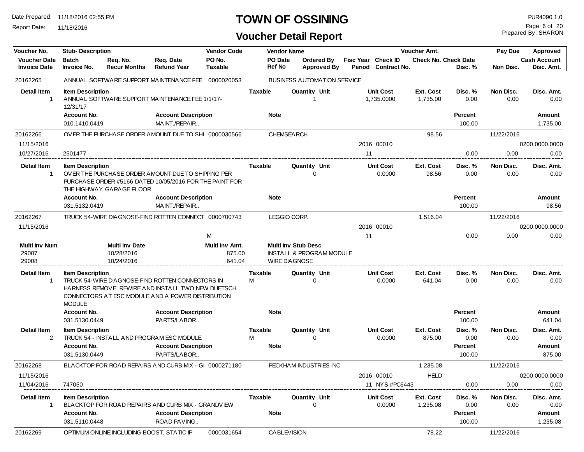Report Date: 11/18/2016

#### **TOWN OF OSSINING PUR4090 1.0**

## **Voucher Detail Report**

Prepared By: SHARON Page 6 of 20

| Voucher No.                                | <b>Stub-Description</b>                                 |                                                                                                                                                                                         |                                                                                                               | <b>Vendor Code</b>                 |                     | <b>Vendor Name</b>       |                                                                   |                                         |            |                                           | <b>Voucher Amt.</b>   |                                             | Pay Due           | Approved                               |
|--------------------------------------------|---------------------------------------------------------|-----------------------------------------------------------------------------------------------------------------------------------------------------------------------------------------|---------------------------------------------------------------------------------------------------------------|------------------------------------|---------------------|--------------------------|-------------------------------------------------------------------|-----------------------------------------|------------|-------------------------------------------|-----------------------|---------------------------------------------|-------------------|----------------------------------------|
| <b>Voucher Date</b><br><b>Invoice Date</b> | <b>Batch</b><br>Invoice No.                             | Req. No.<br><b>Recur Months</b>                                                                                                                                                         | Req. Date<br><b>Refund Year</b>                                                                               | PO No.<br><b>Taxable</b>           |                     | <b>PO</b> Date<br>Ref No |                                                                   | <b>Ordered Bv</b><br><b>Approved By</b> | Period     | Fisc Year Check ID<br><b>Contract No.</b> |                       | <b>Check No. Check Date</b><br>Disc. %      | Non Disc.         | <b>Cash Account</b><br>Disc. Amt.      |
| 20162265                                   |                                                         |                                                                                                                                                                                         | ANNUAL SOFTWARE SUPPORT MAINTENANCE FEE 0000020053                                                            |                                    |                     |                          | <b>BUSINESS AUTOMATION SERVICE</b>                                |                                         |            |                                           |                       |                                             |                   |                                        |
| <b>Detail Item</b><br>$\mathbf 1$          | <b>Item Description</b><br>12/31/17                     |                                                                                                                                                                                         | ANNUAL SOFTWARE SUPPORT MAINTENANCE FEE 1/1/17-                                                               |                                    | <b>Taxable</b>      |                          | Quantity Unit                                                     |                                         |            | <b>Unit Cost</b><br>1,735.0000            | Ext. Cost<br>1,735.00 | Disc. %<br>0.00                             | Non Disc.<br>0.00 | Disc. Amt.<br>0.00                     |
|                                            | Account No.<br>010.1410.0419                            |                                                                                                                                                                                         | <b>Account Description</b><br>MAINT./REPAIR                                                                   |                                    |                     | <b>Note</b>              |                                                                   |                                         |            |                                           |                       | Percent<br>100.00                           |                   | Amount<br>1,735.00                     |
| 20162266                                   |                                                         |                                                                                                                                                                                         | OVER THE PURCHASE ORDER AMOUNT DUE TO SHI 0000030566                                                          |                                    |                     | CHEMSEA RCH              |                                                                   |                                         |            |                                           | 98.56                 |                                             | 11/22/2016        |                                        |
| 11/15/2016                                 |                                                         |                                                                                                                                                                                         |                                                                                                               |                                    |                     |                          |                                                                   |                                         |            | 2016 00010                                |                       |                                             |                   | 0200.0000.0000                         |
| 10/27/2016                                 | 2501477                                                 |                                                                                                                                                                                         |                                                                                                               |                                    |                     |                          |                                                                   |                                         | 11         |                                           |                       | 0.00                                        | 0.00              | 0.00                                   |
| <b>Detail Item</b><br>$\mathbf 1$          | <b>Item Description</b>                                 | THE HIGHWAY GARAGE FLOOR                                                                                                                                                                | OVER THE PURCHASE ORDER AMOUNT DUE TO SHIPPING PER<br>PURCHASE ORDER #5166 DATED 10/05/2016 FOR THE PAINT FOR |                                    | <b>Taxable</b>      |                          | Quantity Unit<br>$\Omega$                                         |                                         |            | <b>Unit Cost</b><br>0.0000                | Ext. Cost<br>98.56    | Disc. %<br>0.00                             | Non Disc.<br>0.00 | Disc. Amt.<br>0.00                     |
|                                            | <b>Account No.</b>                                      |                                                                                                                                                                                         | <b>Account Description</b>                                                                                    |                                    |                     | <b>Note</b>              |                                                                   |                                         |            |                                           |                       | Percent                                     |                   | Amount                                 |
|                                            | 031.5132.0419                                           |                                                                                                                                                                                         | MAINT./REPAIR                                                                                                 |                                    |                     |                          |                                                                   |                                         |            |                                           |                       | 100.00                                      |                   | 98.56                                  |
| 20162267                                   |                                                         |                                                                                                                                                                                         | TRUCK 54-WIRF DIA GNOSF-FIND ROTTFN CONNECT 0000700743                                                        |                                    |                     | LEGGIO CORP.             |                                                                   |                                         |            |                                           | 1,516.04              |                                             | 11/22/2016        |                                        |
| 11/15/2016                                 |                                                         |                                                                                                                                                                                         |                                                                                                               |                                    |                     |                          |                                                                   |                                         | 2016 00010 |                                           |                       |                                             | 0200.0000.0000    |                                        |
|                                            |                                                         |                                                                                                                                                                                         |                                                                                                               | M                                  |                     |                          |                                                                   |                                         | 11         |                                           |                       | 0.00                                        | 0.00              | 0.00                                   |
| <b>Multi Inv Num</b><br>29007<br>29008     |                                                         | <b>Multi Inv Date</b><br>10/28/2016<br>10/24/2016                                                                                                                                       |                                                                                                               | Multi Inv Amt.<br>875.00<br>641.04 |                     | <b>WIRE DIA GNOSE</b>    | <b>Multi Inv Stub Desc</b><br><b>INSTALL &amp; PROGRAM MODULE</b> |                                         |            |                                           |                       |                                             |                   |                                        |
| <b>Detail Item</b><br>-1                   | <b>MODULE</b>                                           | <b>Item Description</b><br>TRUCK 54-WIRE DIA GNOSE-FIND ROTTEN CONNECTORS IN<br>HARNESS REMOVE, REWIRE AND INSTALL TWO NEW DUETSCH<br>CONNECTORS AT ESC MODULE AND A POWER DISTRIBUTION |                                                                                                               |                                    |                     | Taxable                  | <b>Quantity Unit</b><br>∩                                         |                                         |            | <b>Unit Cost</b><br>0.0000                | Ext. Cost<br>641.04   | Disc. %<br>0.00                             | Non Disc.<br>0.00 | Disc. Amt.<br>0.00                     |
|                                            | <b>Account No.</b><br>031.5130.0449                     |                                                                                                                                                                                         | <b>Account Description</b><br>PARTS/LABOR                                                                     |                                    |                     | <b>Note</b>              |                                                                   |                                         |            |                                           |                       | Percent<br>100.00                           |                   | Amount<br>641.04                       |
| <b>Detail Item</b><br>2                    | <b>Item Description</b><br>Account No.<br>031.5130.0449 |                                                                                                                                                                                         | TRUCK 54 - INSTALL AND PROGRAM ESC MODULE<br><b>Account Description</b><br>PARTS/LABOR                        |                                    | <b>Taxable</b><br>М | <b>Note</b>              | <b>Quantity Unit</b><br>$\Omega$                                  |                                         |            | <b>Unit Cost</b><br>0.0000                | Ext. Cost<br>875.00   | Disc. %<br>0.00<br><b>Percent</b><br>100.00 | Non Disc.<br>0.00 | Disc. Amt.<br>0.00<br>Amount<br>875.00 |
| 20162268                                   |                                                         |                                                                                                                                                                                         | BI A CKTOP FOR ROAD REPAIRS AND CLIRB MIX - G 0000271180                                                      |                                    |                     |                          | PECKHAM INDUSTRIES INC                                            |                                         |            |                                           | 1,235.08              |                                             | 11/22/2016        |                                        |
| 11/15/2016                                 |                                                         |                                                                                                                                                                                         |                                                                                                               |                                    |                     |                          |                                                                   |                                         |            | 2016 00010                                | HELD                  |                                             |                   | 0200.0000.0000                         |
| 11/04/2016                                 | 747050                                                  |                                                                                                                                                                                         |                                                                                                               |                                    |                     |                          |                                                                   |                                         |            | 11 NYS #PC6443                            |                       | 0.00                                        | 0.00              | 0.00                                   |
| <b>Detail Item</b><br>$\mathbf 1$          | <b>Item Description</b><br>Account No.                  |                                                                                                                                                                                         | BLACKTOP FOR ROAD REPAIRS AND CURB MIX - GRANDVIEW<br><b>Account Description</b>                              |                                    | Taxable             | <b>Note</b>              | Quantity Unit                                                     |                                         |            | <b>Unit Cost</b><br>0.0000                | Ext. Cost<br>1,235.08 | Disc. %<br>0.00<br>Percent                  | Non Disc.<br>0.00 | Disc. Amt.<br>0.00<br>Amount           |
|                                            | 031.5110.0448                                           |                                                                                                                                                                                         | ROAD PAVING                                                                                                   |                                    |                     |                          |                                                                   |                                         |            |                                           |                       | 100.00                                      |                   | 1,235.08                               |
| 20162269                                   |                                                         | OPTIMI IM ONI INFINCI LIDING BOOST. STATIC IP                                                                                                                                           |                                                                                                               | 0000031654                         |                     | <b>CABLEVISION</b>       |                                                                   |                                         |            |                                           | 78.22                 |                                             | 11/22/2016        |                                        |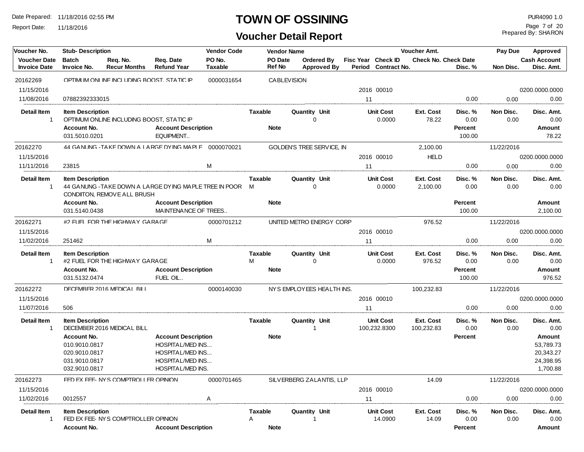Report Date: 11/18/2016

#### **TOWN OF OSSINING PUR4090 1.0**

| PO No.<br><b>Cash Account</b><br><b>Voucher Date</b><br><b>Batch</b><br>Req. Date<br>PO Date<br>Fisc Year Check ID<br><b>Check No. Check Date</b><br>Req. No.<br><b>Ordered By</b><br>Ref No<br><b>Invoice Date</b><br><b>Recur Months</b><br><b>Refund Year</b><br>Taxable<br><b>Approved By</b><br>Period Contract No.<br>Disc. %<br>Non Disc.<br>Disc. Amt.<br>Invoice No.<br>20162269<br>OPTIMUM ONLINE INCLUDING BOOST. STATIC IP<br>0000031654<br><b>CABLEVISION</b><br>11/15/2016<br>0200.0000.0000<br>2016 00010<br>11/08/2016<br>0.00<br>0.00<br>0.00<br>07882392333015<br>11<br><b>Detail Item</b><br>Non Disc.<br><b>Item Description</b><br><b>Taxable</b><br>Quantity Unit<br><b>Unit Cost</b><br>Ext. Cost<br>Disc. %<br>Disc. Amt.<br>OPTIMUM ONLINE INCLUDING BOOST, STATIC IP<br>$\Omega$<br>0.0000<br>78.22<br>0.00<br>0.00<br>0.00<br>Percent<br>Account No.<br><b>Account Description</b><br><b>Note</b><br>Amount<br>EQUIPMENT<br>031.5010.0201<br>100.00<br>78.22<br>44 GANUNG-TAKE DOWN A LARGE DYING MAPLE 0000070021<br>GOLDEN'S TREE SERVICE, IN<br>20162270<br>2,100.00<br>11/22/2016<br><b>HELD</b><br>11/15/2016<br>2016 00010<br>0200.0000.0000<br>M<br>11/11/2016<br>11<br>0.00<br>0.00<br>23815<br>0.00<br><b>Detail Item</b><br><b>Item Description</b><br><b>Unit Cost</b><br>Disc. %<br>Non Disc.<br><b>Taxable</b><br><b>Quantity Unit</b><br>Ext. Cost<br>Disc. Amt.<br>44 GANUNG - TAKE DOWN A LARGE DYING MAPLE TREE IN POOR M<br>0.0000<br>2,100.00<br>0.00<br>0.00<br>0.00<br>$\mathbf{1}$<br>$\Omega$<br>CONDITON, REMOVE ALL BRUSH<br>Percent<br>Account No.<br><b>Account Description</b><br><b>Note</b><br>Amount<br>MAINTENANCE OF TREES<br>031.5140.0438<br>100.00<br>2,100.00<br>#2 FUFI FOR THE HIGHWAY GARAGE<br>0000701212<br>976.52<br>20162271<br>UNITED METRO ENERGY CORP<br>11/22/2016<br>11/15/2016<br>2016 00010<br>0200.0000.0000<br>M<br>11/02/2016<br>0.00<br>0.00<br>0.00<br>251462<br>11<br><b>Detail Item</b><br>Non Disc.<br><b>Item Description</b><br>Taxable<br>Quantity Unit<br><b>Unit Cost</b><br>Ext. Cost<br>Disc. %<br>Disc. Amt.<br>#2 FUEL FOR THE HIGHWAY GARAGE<br>м<br>$\Omega$<br>976.52<br>0.00<br>0.00<br>0.0000<br>0.00<br>-1<br><b>Account Description</b><br>Account No.<br><b>Note</b><br>Percent<br>Amount<br>031.5132.0474<br>FUEL OIL<br>100.00<br>976.52<br>NYS EMPLOYEES HEALTH INS.<br>DECEMBER 2016 MEDICAL BILL<br>11/22/2016<br>20162272<br>0000140030<br>100,232.83<br>11/15/2016<br>2016 00010<br>0200.0000.0000<br>11/07/2016<br>0.00<br>0.00<br>506<br>11<br>0.00<br><b>Detail Item</b><br><b>Item Description</b><br><b>Taxable</b><br>Quantity Unit<br><b>Unit Cost</b><br>Ext. Cost<br>Non Disc.<br>Disc. %<br>Disc. Amt.<br>DECEMBER 2016 MEDICAL BILL<br>0.00<br>0.00<br>0.00<br>$\mathbf{1}$<br>100,232.8300<br>100,232.83<br>Amount<br>Account No.<br><b>Account Description</b><br><b>Note</b><br>Percent<br>010.9010.0817<br><b>HOSPITAL/MED INS</b><br>53,789.73<br>HOSPITAL/MED INS<br>20,343.27<br>020.9010.0817<br>HOSPITAL/MED INS<br>24,398.95<br>031.9010.0817<br>HOSPITAL/MED INS.<br>1,700.88<br>032.9010.0817<br>20162273<br>FFD FX FFF- NYS COMPTROLL FR OPINION<br>0000701465<br>SILVERBERG ZALANTIS, LLP<br>14.09<br>11/22/2016<br>11/15/2016<br>2016 00010<br>0200.0000.0000<br>11<br>11/02/2016<br>0012557<br>Α<br>0.00<br>0.00<br>0.00<br><b>Detail Item</b><br>Quantity Unit<br><b>Unit Cost</b><br>Ext. Cost<br>Disc. %<br>Non Disc.<br><b>Item Description</b><br><b>Taxable</b><br>Disc. Amt.<br>FED EX FEE- NYS COMPTROLLER OPINION<br>A<br>14.0900<br>14.09<br>0.00<br>0.00<br>0.00<br>1<br><b>Account Description</b><br><b>Note</b> | Voucher No. | <b>Stub- Description</b> |  | <b>Vendor Code</b> | <b>Vendor Name</b> |  | Voucher Amt. |         | Pay Due | Approved |
|------------------------------------------------------------------------------------------------------------------------------------------------------------------------------------------------------------------------------------------------------------------------------------------------------------------------------------------------------------------------------------------------------------------------------------------------------------------------------------------------------------------------------------------------------------------------------------------------------------------------------------------------------------------------------------------------------------------------------------------------------------------------------------------------------------------------------------------------------------------------------------------------------------------------------------------------------------------------------------------------------------------------------------------------------------------------------------------------------------------------------------------------------------------------------------------------------------------------------------------------------------------------------------------------------------------------------------------------------------------------------------------------------------------------------------------------------------------------------------------------------------------------------------------------------------------------------------------------------------------------------------------------------------------------------------------------------------------------------------------------------------------------------------------------------------------------------------------------------------------------------------------------------------------------------------------------------------------------------------------------------------------------------------------------------------------------------------------------------------------------------------------------------------------------------------------------------------------------------------------------------------------------------------------------------------------------------------------------------------------------------------------------------------------------------------------------------------------------------------------------------------------------------------------------------------------------------------------------------------------------------------------------------------------------------------------------------------------------------------------------------------------------------------------------------------------------------------------------------------------------------------------------------------------------------------------------------------------------------------------------------------------------------------------------------------------------------------------------------------------------------------------------------------------------------------------------------------------------------------------------------------------------------------------------------------------------------------------------------------------------------------------------------------------------------------------------------------------------------------------------------------------------------------------------------------------------------------------------------------------------------------------------------------------------|-------------|--------------------------|--|--------------------|--------------------|--|--------------|---------|---------|----------|
|                                                                                                                                                                                                                                                                                                                                                                                                                                                                                                                                                                                                                                                                                                                                                                                                                                                                                                                                                                                                                                                                                                                                                                                                                                                                                                                                                                                                                                                                                                                                                                                                                                                                                                                                                                                                                                                                                                                                                                                                                                                                                                                                                                                                                                                                                                                                                                                                                                                                                                                                                                                                                                                                                                                                                                                                                                                                                                                                                                                                                                                                                                                                                                                                                                                                                                                                                                                                                                                                                                                                                                                                                                                                        |             |                          |  |                    |                    |  |              |         |         |          |
|                                                                                                                                                                                                                                                                                                                                                                                                                                                                                                                                                                                                                                                                                                                                                                                                                                                                                                                                                                                                                                                                                                                                                                                                                                                                                                                                                                                                                                                                                                                                                                                                                                                                                                                                                                                                                                                                                                                                                                                                                                                                                                                                                                                                                                                                                                                                                                                                                                                                                                                                                                                                                                                                                                                                                                                                                                                                                                                                                                                                                                                                                                                                                                                                                                                                                                                                                                                                                                                                                                                                                                                                                                                                        |             |                          |  |                    |                    |  |              |         |         |          |
|                                                                                                                                                                                                                                                                                                                                                                                                                                                                                                                                                                                                                                                                                                                                                                                                                                                                                                                                                                                                                                                                                                                                                                                                                                                                                                                                                                                                                                                                                                                                                                                                                                                                                                                                                                                                                                                                                                                                                                                                                                                                                                                                                                                                                                                                                                                                                                                                                                                                                                                                                                                                                                                                                                                                                                                                                                                                                                                                                                                                                                                                                                                                                                                                                                                                                                                                                                                                                                                                                                                                                                                                                                                                        |             |                          |  |                    |                    |  |              |         |         |          |
|                                                                                                                                                                                                                                                                                                                                                                                                                                                                                                                                                                                                                                                                                                                                                                                                                                                                                                                                                                                                                                                                                                                                                                                                                                                                                                                                                                                                                                                                                                                                                                                                                                                                                                                                                                                                                                                                                                                                                                                                                                                                                                                                                                                                                                                                                                                                                                                                                                                                                                                                                                                                                                                                                                                                                                                                                                                                                                                                                                                                                                                                                                                                                                                                                                                                                                                                                                                                                                                                                                                                                                                                                                                                        |             |                          |  |                    |                    |  |              |         |         |          |
|                                                                                                                                                                                                                                                                                                                                                                                                                                                                                                                                                                                                                                                                                                                                                                                                                                                                                                                                                                                                                                                                                                                                                                                                                                                                                                                                                                                                                                                                                                                                                                                                                                                                                                                                                                                                                                                                                                                                                                                                                                                                                                                                                                                                                                                                                                                                                                                                                                                                                                                                                                                                                                                                                                                                                                                                                                                                                                                                                                                                                                                                                                                                                                                                                                                                                                                                                                                                                                                                                                                                                                                                                                                                        |             |                          |  |                    |                    |  |              |         |         |          |
|                                                                                                                                                                                                                                                                                                                                                                                                                                                                                                                                                                                                                                                                                                                                                                                                                                                                                                                                                                                                                                                                                                                                                                                                                                                                                                                                                                                                                                                                                                                                                                                                                                                                                                                                                                                                                                                                                                                                                                                                                                                                                                                                                                                                                                                                                                                                                                                                                                                                                                                                                                                                                                                                                                                                                                                                                                                                                                                                                                                                                                                                                                                                                                                                                                                                                                                                                                                                                                                                                                                                                                                                                                                                        |             |                          |  |                    |                    |  |              |         |         |          |
|                                                                                                                                                                                                                                                                                                                                                                                                                                                                                                                                                                                                                                                                                                                                                                                                                                                                                                                                                                                                                                                                                                                                                                                                                                                                                                                                                                                                                                                                                                                                                                                                                                                                                                                                                                                                                                                                                                                                                                                                                                                                                                                                                                                                                                                                                                                                                                                                                                                                                                                                                                                                                                                                                                                                                                                                                                                                                                                                                                                                                                                                                                                                                                                                                                                                                                                                                                                                                                                                                                                                                                                                                                                                        |             |                          |  |                    |                    |  |              |         |         |          |
|                                                                                                                                                                                                                                                                                                                                                                                                                                                                                                                                                                                                                                                                                                                                                                                                                                                                                                                                                                                                                                                                                                                                                                                                                                                                                                                                                                                                                                                                                                                                                                                                                                                                                                                                                                                                                                                                                                                                                                                                                                                                                                                                                                                                                                                                                                                                                                                                                                                                                                                                                                                                                                                                                                                                                                                                                                                                                                                                                                                                                                                                                                                                                                                                                                                                                                                                                                                                                                                                                                                                                                                                                                                                        |             |                          |  |                    |                    |  |              |         |         |          |
|                                                                                                                                                                                                                                                                                                                                                                                                                                                                                                                                                                                                                                                                                                                                                                                                                                                                                                                                                                                                                                                                                                                                                                                                                                                                                                                                                                                                                                                                                                                                                                                                                                                                                                                                                                                                                                                                                                                                                                                                                                                                                                                                                                                                                                                                                                                                                                                                                                                                                                                                                                                                                                                                                                                                                                                                                                                                                                                                                                                                                                                                                                                                                                                                                                                                                                                                                                                                                                                                                                                                                                                                                                                                        |             |                          |  |                    |                    |  |              |         |         |          |
|                                                                                                                                                                                                                                                                                                                                                                                                                                                                                                                                                                                                                                                                                                                                                                                                                                                                                                                                                                                                                                                                                                                                                                                                                                                                                                                                                                                                                                                                                                                                                                                                                                                                                                                                                                                                                                                                                                                                                                                                                                                                                                                                                                                                                                                                                                                                                                                                                                                                                                                                                                                                                                                                                                                                                                                                                                                                                                                                                                                                                                                                                                                                                                                                                                                                                                                                                                                                                                                                                                                                                                                                                                                                        |             |                          |  |                    |                    |  |              |         |         |          |
|                                                                                                                                                                                                                                                                                                                                                                                                                                                                                                                                                                                                                                                                                                                                                                                                                                                                                                                                                                                                                                                                                                                                                                                                                                                                                                                                                                                                                                                                                                                                                                                                                                                                                                                                                                                                                                                                                                                                                                                                                                                                                                                                                                                                                                                                                                                                                                                                                                                                                                                                                                                                                                                                                                                                                                                                                                                                                                                                                                                                                                                                                                                                                                                                                                                                                                                                                                                                                                                                                                                                                                                                                                                                        |             |                          |  |                    |                    |  |              |         |         |          |
|                                                                                                                                                                                                                                                                                                                                                                                                                                                                                                                                                                                                                                                                                                                                                                                                                                                                                                                                                                                                                                                                                                                                                                                                                                                                                                                                                                                                                                                                                                                                                                                                                                                                                                                                                                                                                                                                                                                                                                                                                                                                                                                                                                                                                                                                                                                                                                                                                                                                                                                                                                                                                                                                                                                                                                                                                                                                                                                                                                                                                                                                                                                                                                                                                                                                                                                                                                                                                                                                                                                                                                                                                                                                        |             |                          |  |                    |                    |  |              |         |         |          |
|                                                                                                                                                                                                                                                                                                                                                                                                                                                                                                                                                                                                                                                                                                                                                                                                                                                                                                                                                                                                                                                                                                                                                                                                                                                                                                                                                                                                                                                                                                                                                                                                                                                                                                                                                                                                                                                                                                                                                                                                                                                                                                                                                                                                                                                                                                                                                                                                                                                                                                                                                                                                                                                                                                                                                                                                                                                                                                                                                                                                                                                                                                                                                                                                                                                                                                                                                                                                                                                                                                                                                                                                                                                                        |             |                          |  |                    |                    |  |              |         |         |          |
|                                                                                                                                                                                                                                                                                                                                                                                                                                                                                                                                                                                                                                                                                                                                                                                                                                                                                                                                                                                                                                                                                                                                                                                                                                                                                                                                                                                                                                                                                                                                                                                                                                                                                                                                                                                                                                                                                                                                                                                                                                                                                                                                                                                                                                                                                                                                                                                                                                                                                                                                                                                                                                                                                                                                                                                                                                                                                                                                                                                                                                                                                                                                                                                                                                                                                                                                                                                                                                                                                                                                                                                                                                                                        |             |                          |  |                    |                    |  |              |         |         |          |
|                                                                                                                                                                                                                                                                                                                                                                                                                                                                                                                                                                                                                                                                                                                                                                                                                                                                                                                                                                                                                                                                                                                                                                                                                                                                                                                                                                                                                                                                                                                                                                                                                                                                                                                                                                                                                                                                                                                                                                                                                                                                                                                                                                                                                                                                                                                                                                                                                                                                                                                                                                                                                                                                                                                                                                                                                                                                                                                                                                                                                                                                                                                                                                                                                                                                                                                                                                                                                                                                                                                                                                                                                                                                        |             |                          |  |                    |                    |  |              |         |         |          |
|                                                                                                                                                                                                                                                                                                                                                                                                                                                                                                                                                                                                                                                                                                                                                                                                                                                                                                                                                                                                                                                                                                                                                                                                                                                                                                                                                                                                                                                                                                                                                                                                                                                                                                                                                                                                                                                                                                                                                                                                                                                                                                                                                                                                                                                                                                                                                                                                                                                                                                                                                                                                                                                                                                                                                                                                                                                                                                                                                                                                                                                                                                                                                                                                                                                                                                                                                                                                                                                                                                                                                                                                                                                                        |             |                          |  |                    |                    |  |              |         |         |          |
|                                                                                                                                                                                                                                                                                                                                                                                                                                                                                                                                                                                                                                                                                                                                                                                                                                                                                                                                                                                                                                                                                                                                                                                                                                                                                                                                                                                                                                                                                                                                                                                                                                                                                                                                                                                                                                                                                                                                                                                                                                                                                                                                                                                                                                                                                                                                                                                                                                                                                                                                                                                                                                                                                                                                                                                                                                                                                                                                                                                                                                                                                                                                                                                                                                                                                                                                                                                                                                                                                                                                                                                                                                                                        |             |                          |  |                    |                    |  |              |         |         |          |
|                                                                                                                                                                                                                                                                                                                                                                                                                                                                                                                                                                                                                                                                                                                                                                                                                                                                                                                                                                                                                                                                                                                                                                                                                                                                                                                                                                                                                                                                                                                                                                                                                                                                                                                                                                                                                                                                                                                                                                                                                                                                                                                                                                                                                                                                                                                                                                                                                                                                                                                                                                                                                                                                                                                                                                                                                                                                                                                                                                                                                                                                                                                                                                                                                                                                                                                                                                                                                                                                                                                                                                                                                                                                        |             |                          |  |                    |                    |  |              |         |         |          |
|                                                                                                                                                                                                                                                                                                                                                                                                                                                                                                                                                                                                                                                                                                                                                                                                                                                                                                                                                                                                                                                                                                                                                                                                                                                                                                                                                                                                                                                                                                                                                                                                                                                                                                                                                                                                                                                                                                                                                                                                                                                                                                                                                                                                                                                                                                                                                                                                                                                                                                                                                                                                                                                                                                                                                                                                                                                                                                                                                                                                                                                                                                                                                                                                                                                                                                                                                                                                                                                                                                                                                                                                                                                                        |             |                          |  |                    |                    |  |              |         |         |          |
|                                                                                                                                                                                                                                                                                                                                                                                                                                                                                                                                                                                                                                                                                                                                                                                                                                                                                                                                                                                                                                                                                                                                                                                                                                                                                                                                                                                                                                                                                                                                                                                                                                                                                                                                                                                                                                                                                                                                                                                                                                                                                                                                                                                                                                                                                                                                                                                                                                                                                                                                                                                                                                                                                                                                                                                                                                                                                                                                                                                                                                                                                                                                                                                                                                                                                                                                                                                                                                                                                                                                                                                                                                                                        |             |                          |  |                    |                    |  |              |         |         |          |
|                                                                                                                                                                                                                                                                                                                                                                                                                                                                                                                                                                                                                                                                                                                                                                                                                                                                                                                                                                                                                                                                                                                                                                                                                                                                                                                                                                                                                                                                                                                                                                                                                                                                                                                                                                                                                                                                                                                                                                                                                                                                                                                                                                                                                                                                                                                                                                                                                                                                                                                                                                                                                                                                                                                                                                                                                                                                                                                                                                                                                                                                                                                                                                                                                                                                                                                                                                                                                                                                                                                                                                                                                                                                        |             |                          |  |                    |                    |  |              |         |         |          |
|                                                                                                                                                                                                                                                                                                                                                                                                                                                                                                                                                                                                                                                                                                                                                                                                                                                                                                                                                                                                                                                                                                                                                                                                                                                                                                                                                                                                                                                                                                                                                                                                                                                                                                                                                                                                                                                                                                                                                                                                                                                                                                                                                                                                                                                                                                                                                                                                                                                                                                                                                                                                                                                                                                                                                                                                                                                                                                                                                                                                                                                                                                                                                                                                                                                                                                                                                                                                                                                                                                                                                                                                                                                                        |             |                          |  |                    |                    |  |              |         |         |          |
|                                                                                                                                                                                                                                                                                                                                                                                                                                                                                                                                                                                                                                                                                                                                                                                                                                                                                                                                                                                                                                                                                                                                                                                                                                                                                                                                                                                                                                                                                                                                                                                                                                                                                                                                                                                                                                                                                                                                                                                                                                                                                                                                                                                                                                                                                                                                                                                                                                                                                                                                                                                                                                                                                                                                                                                                                                                                                                                                                                                                                                                                                                                                                                                                                                                                                                                                                                                                                                                                                                                                                                                                                                                                        |             |                          |  |                    |                    |  |              |         |         |          |
|                                                                                                                                                                                                                                                                                                                                                                                                                                                                                                                                                                                                                                                                                                                                                                                                                                                                                                                                                                                                                                                                                                                                                                                                                                                                                                                                                                                                                                                                                                                                                                                                                                                                                                                                                                                                                                                                                                                                                                                                                                                                                                                                                                                                                                                                                                                                                                                                                                                                                                                                                                                                                                                                                                                                                                                                                                                                                                                                                                                                                                                                                                                                                                                                                                                                                                                                                                                                                                                                                                                                                                                                                                                                        |             |                          |  |                    |                    |  |              |         |         |          |
|                                                                                                                                                                                                                                                                                                                                                                                                                                                                                                                                                                                                                                                                                                                                                                                                                                                                                                                                                                                                                                                                                                                                                                                                                                                                                                                                                                                                                                                                                                                                                                                                                                                                                                                                                                                                                                                                                                                                                                                                                                                                                                                                                                                                                                                                                                                                                                                                                                                                                                                                                                                                                                                                                                                                                                                                                                                                                                                                                                                                                                                                                                                                                                                                                                                                                                                                                                                                                                                                                                                                                                                                                                                                        |             |                          |  |                    |                    |  |              |         |         |          |
|                                                                                                                                                                                                                                                                                                                                                                                                                                                                                                                                                                                                                                                                                                                                                                                                                                                                                                                                                                                                                                                                                                                                                                                                                                                                                                                                                                                                                                                                                                                                                                                                                                                                                                                                                                                                                                                                                                                                                                                                                                                                                                                                                                                                                                                                                                                                                                                                                                                                                                                                                                                                                                                                                                                                                                                                                                                                                                                                                                                                                                                                                                                                                                                                                                                                                                                                                                                                                                                                                                                                                                                                                                                                        |             |                          |  |                    |                    |  |              |         |         |          |
|                                                                                                                                                                                                                                                                                                                                                                                                                                                                                                                                                                                                                                                                                                                                                                                                                                                                                                                                                                                                                                                                                                                                                                                                                                                                                                                                                                                                                                                                                                                                                                                                                                                                                                                                                                                                                                                                                                                                                                                                                                                                                                                                                                                                                                                                                                                                                                                                                                                                                                                                                                                                                                                                                                                                                                                                                                                                                                                                                                                                                                                                                                                                                                                                                                                                                                                                                                                                                                                                                                                                                                                                                                                                        |             |                          |  |                    |                    |  |              |         |         |          |
|                                                                                                                                                                                                                                                                                                                                                                                                                                                                                                                                                                                                                                                                                                                                                                                                                                                                                                                                                                                                                                                                                                                                                                                                                                                                                                                                                                                                                                                                                                                                                                                                                                                                                                                                                                                                                                                                                                                                                                                                                                                                                                                                                                                                                                                                                                                                                                                                                                                                                                                                                                                                                                                                                                                                                                                                                                                                                                                                                                                                                                                                                                                                                                                                                                                                                                                                                                                                                                                                                                                                                                                                                                                                        |             |                          |  |                    |                    |  |              |         |         |          |
|                                                                                                                                                                                                                                                                                                                                                                                                                                                                                                                                                                                                                                                                                                                                                                                                                                                                                                                                                                                                                                                                                                                                                                                                                                                                                                                                                                                                                                                                                                                                                                                                                                                                                                                                                                                                                                                                                                                                                                                                                                                                                                                                                                                                                                                                                                                                                                                                                                                                                                                                                                                                                                                                                                                                                                                                                                                                                                                                                                                                                                                                                                                                                                                                                                                                                                                                                                                                                                                                                                                                                                                                                                                                        |             |                          |  |                    |                    |  |              |         |         |          |
|                                                                                                                                                                                                                                                                                                                                                                                                                                                                                                                                                                                                                                                                                                                                                                                                                                                                                                                                                                                                                                                                                                                                                                                                                                                                                                                                                                                                                                                                                                                                                                                                                                                                                                                                                                                                                                                                                                                                                                                                                                                                                                                                                                                                                                                                                                                                                                                                                                                                                                                                                                                                                                                                                                                                                                                                                                                                                                                                                                                                                                                                                                                                                                                                                                                                                                                                                                                                                                                                                                                                                                                                                                                                        |             |                          |  |                    |                    |  |              |         |         |          |
|                                                                                                                                                                                                                                                                                                                                                                                                                                                                                                                                                                                                                                                                                                                                                                                                                                                                                                                                                                                                                                                                                                                                                                                                                                                                                                                                                                                                                                                                                                                                                                                                                                                                                                                                                                                                                                                                                                                                                                                                                                                                                                                                                                                                                                                                                                                                                                                                                                                                                                                                                                                                                                                                                                                                                                                                                                                                                                                                                                                                                                                                                                                                                                                                                                                                                                                                                                                                                                                                                                                                                                                                                                                                        |             |                          |  |                    |                    |  |              |         |         |          |
|                                                                                                                                                                                                                                                                                                                                                                                                                                                                                                                                                                                                                                                                                                                                                                                                                                                                                                                                                                                                                                                                                                                                                                                                                                                                                                                                                                                                                                                                                                                                                                                                                                                                                                                                                                                                                                                                                                                                                                                                                                                                                                                                                                                                                                                                                                                                                                                                                                                                                                                                                                                                                                                                                                                                                                                                                                                                                                                                                                                                                                                                                                                                                                                                                                                                                                                                                                                                                                                                                                                                                                                                                                                                        |             |                          |  |                    |                    |  |              |         |         |          |
|                                                                                                                                                                                                                                                                                                                                                                                                                                                                                                                                                                                                                                                                                                                                                                                                                                                                                                                                                                                                                                                                                                                                                                                                                                                                                                                                                                                                                                                                                                                                                                                                                                                                                                                                                                                                                                                                                                                                                                                                                                                                                                                                                                                                                                                                                                                                                                                                                                                                                                                                                                                                                                                                                                                                                                                                                                                                                                                                                                                                                                                                                                                                                                                                                                                                                                                                                                                                                                                                                                                                                                                                                                                                        |             |                          |  |                    |                    |  |              |         |         |          |
|                                                                                                                                                                                                                                                                                                                                                                                                                                                                                                                                                                                                                                                                                                                                                                                                                                                                                                                                                                                                                                                                                                                                                                                                                                                                                                                                                                                                                                                                                                                                                                                                                                                                                                                                                                                                                                                                                                                                                                                                                                                                                                                                                                                                                                                                                                                                                                                                                                                                                                                                                                                                                                                                                                                                                                                                                                                                                                                                                                                                                                                                                                                                                                                                                                                                                                                                                                                                                                                                                                                                                                                                                                                                        |             |                          |  |                    |                    |  |              |         |         |          |
|                                                                                                                                                                                                                                                                                                                                                                                                                                                                                                                                                                                                                                                                                                                                                                                                                                                                                                                                                                                                                                                                                                                                                                                                                                                                                                                                                                                                                                                                                                                                                                                                                                                                                                                                                                                                                                                                                                                                                                                                                                                                                                                                                                                                                                                                                                                                                                                                                                                                                                                                                                                                                                                                                                                                                                                                                                                                                                                                                                                                                                                                                                                                                                                                                                                                                                                                                                                                                                                                                                                                                                                                                                                                        |             | Account No.              |  |                    |                    |  |              | Percent |         | Amount   |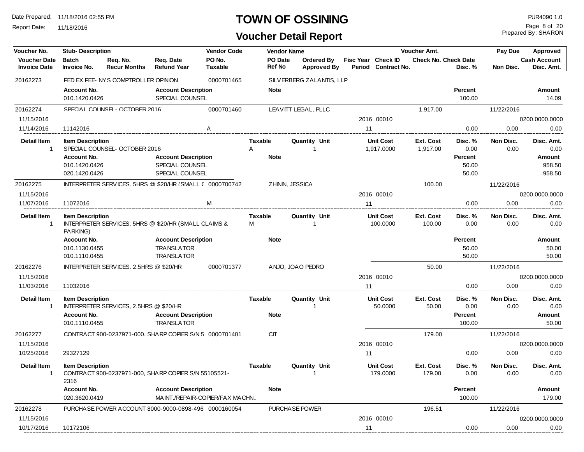Report Date: 11/18/2016

## **TOWN OF OSSINING PUR4090 1.0**

Prepared By: SHARON Page 8 of 20

| Voucher No.                                | <b>Stub-Description</b>             |                                                          |                                                 | <b>Vendor Code</b>             |                          | <b>Vendor Name</b>            |                                         |    |                                           | Voucher Amt.                |                   | <b>Pay Due</b>    | <b>Approved</b>                   |
|--------------------------------------------|-------------------------------------|----------------------------------------------------------|-------------------------------------------------|--------------------------------|--------------------------|-------------------------------|-----------------------------------------|----|-------------------------------------------|-----------------------------|-------------------|-------------------|-----------------------------------|
| <b>Voucher Date</b><br><b>Invoice Date</b> | <b>Batch</b><br>Invoice No.         | Rea. No.<br><b>Recur Months</b>                          | Req. Date<br><b>Refund Year</b>                 | PO No.<br><b>Taxable</b>       | PO Date<br><b>Ref No</b> |                               | <b>Ordered By</b><br><b>Approved By</b> |    | Fisc Year Check ID<br>Period Contract No. | <b>Check No. Check Date</b> | Disc. %           | Non Disc.         | <b>Cash Account</b><br>Disc. Amt. |
| 20162273                                   |                                     | FED EX FEE- NYS COMPTROLLER OPINION                      |                                                 | 0000701465                     |                          | SILVERBERG ZALANTIS, LLP      |                                         |    |                                           |                             |                   |                   |                                   |
|                                            | Account No.                         |                                                          | <b>Account Description</b>                      |                                | <b>Note</b>              |                               |                                         |    |                                           |                             | Percent           |                   | Amount                            |
|                                            | 010.1420.0426                       |                                                          | SPECIAL COUNSEL                                 |                                |                          |                               |                                         |    |                                           |                             | 100.00            |                   | 14.09                             |
| 20162274                                   |                                     | SPECIAL COUNSEL- OCTOBER 2016                            |                                                 | 0000701460                     |                          | LEAVITT LEGAL, PLLC           |                                         |    |                                           | 1,917.00                    |                   | 11/22/2016        |                                   |
| 11/15/2016                                 |                                     |                                                          |                                                 |                                |                          |                               |                                         |    | 2016 00010                                |                             |                   |                   | 0200.0000.0000                    |
| 11/14/2016                                 | 11142016                            |                                                          |                                                 | Α                              |                          |                               |                                         | 11 |                                           |                             | 0.00              | 0.00              | 0.00                              |
| <b>Detail Item</b>                         | <b>Item Description</b>             |                                                          |                                                 |                                | <b>Taxable</b>           | Quantity Unit                 |                                         |    | <b>Unit Cost</b>                          | Ext. Cost                   | Disc. %           | Non Disc.         | Disc. Amt.                        |
| 1                                          |                                     | SPECIAL COUNSEL-OCTOBER 2016                             |                                                 |                                | A                        | $\mathbf{1}$                  |                                         |    | 1.917.0000                                | 1,917.00                    | 0.00              | 0.00              | 0.00                              |
|                                            | Account No.                         |                                                          | <b>Account Description</b>                      |                                | <b>Note</b>              |                               |                                         |    |                                           |                             | Percent           |                   | Amount                            |
|                                            | 010.1420.0426                       |                                                          | SPECIAL COUNSEL                                 |                                |                          |                               |                                         |    |                                           |                             | 50.00             |                   | 958.50                            |
|                                            | 020.1420.0426                       |                                                          | SPECIAL COUNSEL                                 |                                |                          |                               |                                         |    |                                           |                             | 50.00             |                   | 958.50                            |
| 20162275                                   |                                     | INTERPRETER SERVICES. 5HRS @ \$20/HR (SMAII ( 0000700742 |                                                 |                                |                          | ZHININ, JESSICA               |                                         |    |                                           | 100.00                      |                   | 11/22/2016        |                                   |
| 11/15/2016                                 |                                     |                                                          |                                                 |                                |                          |                               |                                         |    | 2016 00010                                |                             |                   |                   | 0200.0000.0000                    |
| 11/07/2016                                 | 11072016                            |                                                          |                                                 | M                              |                          |                               |                                         | 11 |                                           |                             | 0.00              | 0.00              | 0.00                              |
| <b>Detail Item</b><br>$\mathbf{1}$         | <b>Item Description</b><br>PARKING) | INTERPRETER SERVICES, 5HRS @ \$20/HR (SMALL CLAIMS &     |                                                 |                                | <b>Taxable</b><br>м      | Quantity Unit<br>$\mathbf{1}$ |                                         |    | <b>Unit Cost</b><br>100.0000              | Ext. Cost<br>100.00         | Disc. %<br>0.00   | Non Disc.<br>0.00 | Disc. Amt.<br>0.00                |
|                                            | Account No.                         |                                                          | <b>Account Description</b>                      |                                | <b>Note</b>              |                               |                                         |    |                                           |                             | Percent           |                   | <b>Amount</b>                     |
|                                            | 010.1130.0455                       |                                                          | <b>TRANSLATOR</b>                               |                                |                          |                               |                                         |    |                                           |                             | 50.00             |                   | 50.00                             |
|                                            | 010.1110.0455                       |                                                          | <b>TRANSLATOR</b>                               |                                |                          |                               |                                         |    |                                           |                             | 50.00             |                   | 50.00                             |
| 20162276                                   |                                     | INTERPRETER SERVICES 2.5HRS @ \$20/HR                    |                                                 | 0000701377                     |                          | ANJO, JOAO PEDRO              |                                         |    |                                           | 50.00                       |                   | 11/22/2016        |                                   |
| 11/15/2016                                 |                                     |                                                          |                                                 |                                |                          |                               |                                         |    | 2016 00010                                |                             |                   |                   | 0200.0000.0000                    |
| 11/03/2016                                 | 11032016                            |                                                          |                                                 |                                |                          |                               |                                         | 11 |                                           |                             | 0.00              | 0.00              | 0.00                              |
| <b>Detail Item</b>                         | <b>Item Description</b>             |                                                          |                                                 |                                | <b>Taxable</b>           | Quantity Unit                 |                                         |    | <b>Unit Cost</b>                          | Ext. Cost                   | Disc. %           | Non Disc.         | Disc. Amt.                        |
| $\mathbf{1}$                               |                                     | INTERPRETER SERVICES, 2.5HRS @ \$20/HR                   |                                                 |                                |                          | -1                            |                                         |    | 50.0000                                   | 50.00                       | 0.00              | 0.00              | 0.00                              |
|                                            | Account No.<br>010.1110.0455        |                                                          | <b>Account Description</b><br><b>TRANSLATOR</b> |                                | <b>Note</b>              |                               |                                         |    |                                           |                             | Percent<br>100.00 |                   | Amount<br>50.00                   |
| 20162277                                   |                                     | CONTRACT 900-0237971-000. SHARP COPIER S/N 5 0000701401  |                                                 |                                | <b>CIT</b>               |                               |                                         |    |                                           | 179.00                      |                   | 11/22/2016        |                                   |
| 11/15/2016                                 |                                     |                                                          |                                                 |                                |                          |                               |                                         |    | 2016 00010                                |                             |                   |                   | 0200.0000.0000                    |
| 10/25/2016                                 | 29327129                            |                                                          |                                                 |                                |                          |                               |                                         | 11 |                                           |                             | 0.00              | 0.00              | 0.00                              |
| <b>Detail Item</b><br>$\mathbf{1}$         | <b>Item Description</b>             | CONTRACT 900-0237971-000, SHARP COPIER S/N 55105521-     |                                                 |                                | Taxable                  | <b>Quantity Unit</b><br>-1    |                                         |    | <b>Unit Cost</b><br>179.0000              | Ext. Cost<br>179.00         | Disc. %<br>0.00   | Non Disc.<br>0.00 | Disc. Amt.<br>0.00                |
|                                            | 2316                                |                                                          |                                                 |                                |                          |                               |                                         |    |                                           |                             |                   |                   |                                   |
|                                            | Account No.                         |                                                          | <b>Account Description</b>                      |                                | <b>Note</b>              |                               |                                         |    |                                           |                             | Percent           |                   | Amount                            |
|                                            | 020.3620.0419                       |                                                          |                                                 | MAINT./REPAIR-COPIER/FAX MACHN |                          |                               |                                         |    |                                           |                             | 100.00            |                   | 179.00                            |
| 20162278                                   |                                     | PURCHA SE POWER A CCOUNT 8000-9000-0898-496 0000160054   |                                                 |                                |                          | PURCHASE POWER                |                                         |    |                                           | 196.51                      |                   | 11/22/2016        |                                   |
| 11/15/2016                                 |                                     |                                                          |                                                 |                                |                          |                               |                                         |    | 2016 00010                                |                             |                   |                   | 0200.0000.0000                    |
| 10/17/2016                                 | 10172106                            |                                                          |                                                 |                                |                          |                               |                                         | 11 |                                           |                             | 0.00              | 0.00              | 0.00                              |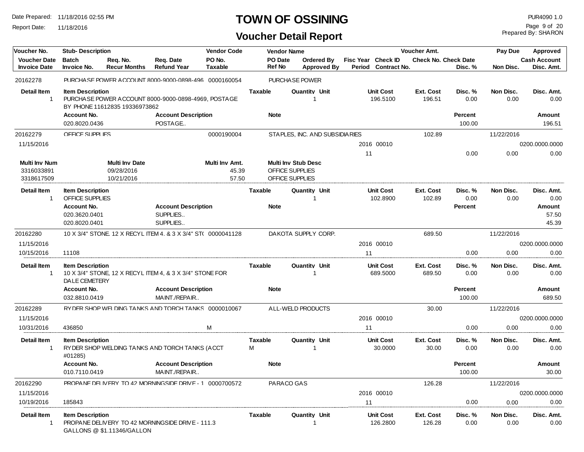Report Date: 11/18/2016

## **TOWN OF OSSINING PUR4090 1.0**

## **Voucher Detail Report**

Prepared By: SHARON Page 9 of 20

| Voucher No.                       | <b>Stub- Description</b>                          |                               |                                                             | <b>Vendor Code</b> |                     | <b>Vendor Name</b> |                                |                    |                    |                              | Voucher Amt.                |                 | Pay Due           | Approved            |
|-----------------------------------|---------------------------------------------------|-------------------------------|-------------------------------------------------------------|--------------------|---------------------|--------------------|--------------------------------|--------------------|--------------------|------------------------------|-----------------------------|-----------------|-------------------|---------------------|
| <b>Voucher Date</b>               | <b>Batch</b>                                      | Req. No.                      | Req. Date                                                   | PO No.             |                     | PO Date            | Ordered By                     |                    | Fisc Year Check ID |                              | <b>Check No. Check Date</b> |                 |                   | <b>Cash Account</b> |
| <b>Invoice Date</b>               | <b>Invoice No.</b>                                | <b>Recur Months</b>           | <b>Refund Year</b>                                          | <b>Taxable</b>     |                     | <b>Ref No</b>      |                                | <b>Approved By</b> |                    | Period Contract No.          |                             | Disc. %         | Non Disc.         | Disc. Amt.          |
| 20162278                          |                                                   |                               | PURCHA SE POWER A CCOUNT 8000-9000-0898-496 0000160054      |                    |                     |                    | PURCHASE POWER                 |                    |                    |                              |                             |                 |                   |                     |
| <b>Detail Item</b>                | <b>Item Description</b>                           |                               |                                                             |                    | <b>Taxable</b>      |                    | <b>Quantity Unit</b>           |                    |                    | <b>Unit Cost</b>             | <b>Ext. Cost</b>            | Disc. %         | Non Disc.         | Disc. Amt.          |
| $\mathbf{1}$                      |                                                   | BY PHONE 11612835 19336973862 | PURCHA SE POWER ACCOUNT 8000-9000-0898-4969, POSTA GE       |                    |                     |                    |                                |                    |                    | 196.5100                     | 196.51                      | 0.00            | 0.00              | 0.00                |
|                                   | Account No.                                       |                               | <b>Account Description</b>                                  |                    |                     | <b>Note</b>        |                                |                    |                    |                              |                             | <b>Percent</b>  |                   | Amount              |
|                                   | 020.8020.0436                                     |                               | POSTAGE                                                     |                    |                     |                    |                                |                    |                    |                              |                             | 100.00          |                   | 196.51              |
| 20162279                          | OFFICE SUPPLIES                                   |                               |                                                             | 0000190004         |                     |                    | STAPLES, INC. AND SUBSIDIARIES |                    |                    |                              | 102.89                      |                 | 11/22/2016        |                     |
| 11/15/2016                        |                                                   |                               |                                                             |                    |                     |                    |                                |                    |                    | 2016 00010                   |                             |                 |                   | 0200.0000.0000      |
|                                   |                                                   |                               |                                                             |                    |                     |                    |                                |                    | 11                 |                              |                             | 0.00            | 0.00              | 0.00                |
| <b>Multi Inv Num</b>              |                                                   | <b>Multi Inv Date</b>         |                                                             | Multi Inv Amt.     |                     |                    | <b>Multi Inv Stub Desc</b>     |                    |                    |                              |                             |                 |                   |                     |
| 3316033891                        |                                                   | 09/28/2016                    |                                                             | 45.39              |                     |                    | OFFICE SUPPLIES                |                    |                    |                              |                             |                 |                   |                     |
| 3318617509                        |                                                   | 10/21/2016                    |                                                             | 57.50              |                     |                    | OFFICE SUPPLIES                |                    |                    |                              |                             |                 |                   |                     |
| <b>Detail Item</b><br>$\mathbf 1$ | <b>Item Description</b><br><b>OFFICE SUPPLIES</b> |                               |                                                             |                    | <b>Taxable</b>      |                    | Quantity Unit                  |                    |                    | <b>Unit Cost</b><br>102.8900 | Ext. Cost<br>102.89         | Disc. %<br>0.00 | Non Disc.<br>0.00 | Disc. Amt.<br>0.00  |
|                                   | Account No.                                       |                               | <b>Account Description</b>                                  |                    |                     | <b>Note</b>        |                                |                    |                    |                              |                             | Percent         |                   | Amount              |
|                                   | 020.3620.0401                                     |                               | SUPPLIES                                                    |                    |                     |                    |                                |                    |                    |                              |                             |                 |                   | 57.50               |
|                                   | 020.8020.0401                                     |                               | SUPPLIES                                                    |                    |                     |                    |                                |                    |                    |                              |                             |                 |                   | 45.39               |
| 20162280                          |                                                   |                               | 10 X 3/4" STONF 12 X RFCYI ITFM 4 & 3 X 3/4" ST( 0000041128 |                    |                     |                    | DAKOTA SUPPLY CORP.            |                    |                    |                              | 689.50                      |                 | 11/22/2016        |                     |
| 11/15/2016                        |                                                   |                               |                                                             |                    |                     |                    |                                |                    |                    | 2016 00010                   |                             |                 |                   | 0200.0000.0000      |
| 10/15/2016                        | 11108                                             |                               |                                                             |                    |                     |                    |                                |                    | 11                 |                              |                             | 0.00            | 0.00              | 0.00                |
| <b>Detail Item</b><br>1           | <b>Item Description</b><br><b>DALE CEMETERY</b>   |                               | 10 X 3/4" STONE, 12 X RECYL ITEM 4, & 3 X 3/4" STONE FOR    |                    | Taxable             |                    | <b>Quantity Unit</b>           |                    |                    | <b>Unit Cost</b><br>689.5000 | <b>Ext. Cost</b><br>689.50  | Disc. %<br>0.00 | Non Disc.<br>0.00 | Disc. Amt.<br>0.00  |
|                                   | Account No.                                       |                               | <b>Account Description</b>                                  |                    |                     | <b>Note</b>        |                                |                    |                    |                              |                             | Percent         |                   | Amount              |
|                                   | 032.8810.0419                                     |                               | MAINT./REPAIR                                               |                    |                     |                    |                                |                    |                    |                              |                             | 100.00          |                   | 689.50              |
| 20162289                          |                                                   |                               | RY DER SHOP WEI DING TANKS AND TORCH TANKS 0000010067       |                    |                     |                    | ALL-WELD PRODUCTS              |                    |                    |                              | 30.00                       |                 | 11/22/2016        |                     |
| 11/15/2016                        |                                                   |                               |                                                             |                    |                     |                    |                                |                    |                    | 2016 00010                   |                             |                 |                   | 0200.0000.0000      |
| 10/31/2016                        | 436850                                            |                               |                                                             | M                  |                     |                    |                                |                    | 11                 |                              |                             | 0.00            | 0.00              | 0.00                |
| <b>Detail Item</b><br>1           | <b>Item Description</b>                           |                               | RYDER SHOP WELDING TANKS AND TORCH TANKS (ACCT              |                    | <b>Taxable</b><br>м |                    | <b>Quantity Unit</b><br>-1     |                    |                    | <b>Unit Cost</b><br>30.0000  | <b>Ext. Cost</b><br>30.00   | Disc. %<br>0.00 | Non Disc.<br>0.00 | Disc. Amt.<br>0.00  |
|                                   | #01285)                                           |                               |                                                             |                    |                     |                    |                                |                    |                    |                              |                             |                 |                   |                     |
|                                   | Account No.                                       |                               | <b>Account Description</b>                                  |                    |                     | <b>Note</b>        |                                |                    |                    |                              |                             | <b>Percent</b>  |                   | Amount              |
|                                   | 010.7110.0419                                     |                               | MAINT./REPAIR                                               |                    |                     |                    |                                |                    |                    |                              |                             | 100.00          |                   | 30.00               |
| 20162290                          |                                                   |                               | PROPANE DELIVERY TO 42 MORNINGSIDE DRIVE - 1 0000700572     |                    |                     | PARACO GAS         |                                |                    |                    |                              | 126.28                      |                 | 11/22/2016        |                     |
| 11/15/2016                        |                                                   |                               |                                                             |                    |                     |                    |                                | 2016 00010         |                    |                              |                             | 0200.0000.0000  |                   |                     |
| 10/19/2016                        | 185843                                            |                               |                                                             |                    |                     |                    |                                | 11                 |                    |                              | 0.00                        | 0.00            | 0.00              |                     |
| <b>Detail Item</b><br>$\mathbf 1$ | <b>Item Description</b>                           | GALLONS @ \$1.11346/GALLON    | PROPANE DELIVERY TO 42 MORNINGSIDE DRIVE - 111.3            |                    | Taxable             |                    | <b>Quantity Unit</b>           |                    |                    | <b>Unit Cost</b><br>126.2800 | <b>Ext. Cost</b><br>126.28  | Disc. %<br>0.00 | Non Disc.<br>0.00 | Disc. Amt.<br>0.00  |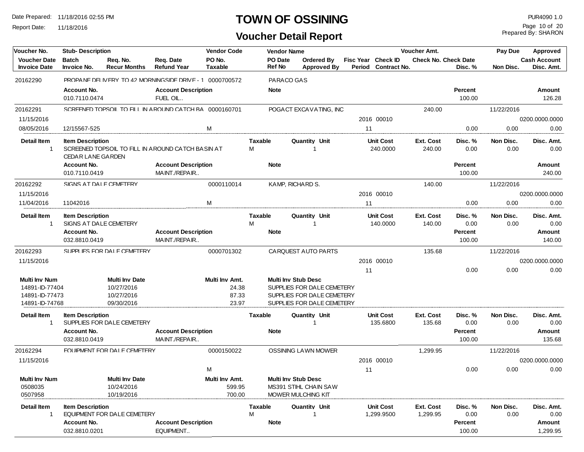Report Date: 11/18/2016

## **TOWN OF OSSINING** PUR4090 1.0

Prepared By: SHARON Page 10 of 20

| Voucher No.                                | <b>Stub- Description</b>                            |                                 |                                                          | <b>Vendor Code</b>       |                | <b>Vendor Name</b>       |                                         |        |                                           | Voucher Amt.                |                          | Pay Due           | Approved                          |
|--------------------------------------------|-----------------------------------------------------|---------------------------------|----------------------------------------------------------|--------------------------|----------------|--------------------------|-----------------------------------------|--------|-------------------------------------------|-----------------------------|--------------------------|-------------------|-----------------------------------|
| <b>Voucher Date</b><br><b>Invoice Date</b> | <b>Batch</b><br>Invoice No.                         | Req. No.<br><b>Recur Months</b> | Req. Date<br><b>Refund Year</b>                          | PO No.<br><b>Taxable</b> |                | PO Date<br><b>Ref No</b> | <b>Ordered By</b><br><b>Approved By</b> | Period | Fisc Year Check ID<br><b>Contract No.</b> | <b>Check No. Check Date</b> | Disc. %                  | Non Disc.         | <b>Cash Account</b><br>Disc. Amt. |
| 20162290                                   |                                                     |                                 | PROPA NE DELIVERY TO 42 MORNINGSIDE DRIVE - 1 0000700572 |                          |                | PARACO GAS               |                                         |        |                                           |                             |                          |                   |                                   |
|                                            | Account No.                                         |                                 | <b>Account Description</b>                               |                          |                | <b>Note</b>              |                                         |        |                                           |                             | Percent                  |                   | Amount                            |
|                                            | 010.7110.0474                                       |                                 | FUEL OIL                                                 |                          |                |                          |                                         |        |                                           |                             | 100.00                   |                   | 126.28                            |
| 20162291                                   |                                                     |                                 | SCREENED TOPSOIL TO FILL IN A ROUND CATCH BA 0000160701  |                          |                |                          | POGACT EXCAVATING, INC                  |        |                                           | 240.00                      |                          | 11/22/2016        |                                   |
| 11/15/2016                                 |                                                     |                                 |                                                          |                          |                |                          |                                         |        | 2016 00010                                |                             |                          |                   | 0200.0000.0000                    |
| 08/05/2016                                 | 12/15567-525                                        |                                 |                                                          | M                        |                |                          |                                         | 11     |                                           |                             | 0.00                     | 0.00              | 0.00                              |
| Detail Item<br>-1                          | <b>Item Description</b><br><b>CEDAR LANE GARDEN</b> |                                 | SCREENED TOPSOIL TO FILL IN AROUND CATCH BASIN AT        |                          | Taxable<br>м   |                          | Quantity Unit<br>-1                     |        | Unit Cost<br>240.0000                     | Ext. Cost<br>240.00         | Disc. %<br>0.00          | Non Disc.<br>0.00 | Disc. Amt.<br>0.00                |
|                                            | Account No.                                         |                                 | <b>Account Description</b>                               |                          |                | <b>Note</b>              |                                         |        |                                           |                             | Percent                  |                   | Amount                            |
|                                            | 010.7110.0419                                       |                                 | MAINT./REPAIR                                            |                          |                |                          |                                         |        |                                           |                             | 100.00                   |                   | 240.00                            |
| 20162292                                   |                                                     | SIGNS AT DAI F CEMETERY         |                                                          | 0000110014               |                |                          | KAMP, RICHARD S.                        |        |                                           | 140.00                      |                          | 11/22/2016        |                                   |
| 11/15/2016                                 |                                                     |                                 |                                                          |                          |                |                          |                                         |        | 2016 00010                                |                             |                          |                   | 0200.0000.0000                    |
| 11/04/2016                                 | 11042016                                            |                                 |                                                          | M                        |                |                          |                                         | 11     |                                           |                             | 0.00                     | 0.00              | 0.00                              |
| <b>Detail Item</b><br>-1                   | <b>Item Description</b>                             | SIGNS AT DALE CEMETERY          |                                                          |                          | Taxable<br>м   |                          | <b>Quantity Unit</b><br>1               |        | <b>Unit Cost</b><br>140.0000              | Ext. Cost<br>140.00         | Disc. %<br>0.00          | Non Disc.<br>0.00 | Disc. Amt.<br>0.00                |
|                                            | Account No.<br>032.8810.0419                        |                                 | <b>Account Description</b><br>MAINT./REPAIR              |                          |                | <b>Note</b>              |                                         |        |                                           |                             | <b>Percent</b><br>100.00 |                   | Amount<br>140.00                  |
| 20162293                                   |                                                     | SUPPLIES FOR DAI F CEMETERY     |                                                          | 0000701302               |                |                          | CARQUEST AUTO PARTS                     |        |                                           | 135.68                      |                          | 11/22/2016        |                                   |
| 11/15/2016                                 |                                                     |                                 |                                                          |                          |                |                          |                                         |        | 2016 00010                                |                             |                          |                   | 0200.0000.0000                    |
|                                            |                                                     |                                 |                                                          |                          |                |                          |                                         | 11     |                                           |                             | 0.00                     | 0.00              | 0.00                              |
| <b>Multi Inv Num</b>                       |                                                     | <b>Multi Inv Date</b>           |                                                          | Multi Inv Amt.           |                |                          | <b>Multi Inv Stub Desc</b>              |        |                                           |                             |                          |                   |                                   |
| 14891-ID-77404                             |                                                     | 10/27/2016                      |                                                          | 24.38                    |                |                          | SUPPLIES FOR DALE CEMETERY              |        |                                           |                             |                          |                   |                                   |
| 14891-ID-77473                             |                                                     | 10/27/2016                      |                                                          | 87.33                    |                |                          | SUPPLIES FOR DALE CEMETERY              |        |                                           |                             |                          |                   |                                   |
| 14891-ID-74768                             |                                                     | 09/30/2016                      |                                                          | 23.97                    |                |                          | SUPPLIES FOR DALE CEMETERY              |        |                                           |                             |                          |                   |                                   |
| <b>Detail Item</b><br>-1                   | <b>Item Description</b>                             | SUPPLIES FOR DALE CEMETERY      |                                                          |                          | <b>Taxable</b> |                          | <b>Quantity Unit</b><br>-1              |        | <b>Unit Cost</b><br>135.6800              | <b>Ext. Cost</b><br>135.68  | Disc. %<br>0.00          | Non Disc.<br>0.00 | Disc. Amt.<br>0.00                |
|                                            | <b>Account No.</b><br>032.8810.0419                 |                                 | <b>Account Description</b><br>MAINT./REPAIR              |                          |                | <b>Note</b>              |                                         |        |                                           |                             | Percent<br>100.00        |                   | Amount<br>135.68                  |
| 20162294                                   |                                                     | FOI JIPMENT FOR DAI F CEMETERY  |                                                          | 0000150022               |                |                          | <b>OSSINING LAWN MOWER</b>              |        |                                           | 1,299.95                    |                          | 11/22/2016        |                                   |
| 11/15/2016                                 |                                                     |                                 |                                                          |                          |                |                          |                                         |        | 2016 00010                                |                             |                          |                   | 0200.0000.0000                    |
|                                            |                                                     |                                 |                                                          | M                        |                |                          |                                         | 11     |                                           |                             | 0.00                     | 0.00              | 0.00                              |
| <b>Multi Inv Num</b>                       |                                                     | <b>Multi Inv Date</b>           |                                                          | Multi Inv Amt.           |                |                          | <b>Multi Inv Stub Desc</b>              |        |                                           |                             |                          |                   |                                   |
| 0508035                                    |                                                     | 10/24/2016                      |                                                          | 599.95                   |                |                          | MS391 STIHL CHAIN SAW                   |        |                                           |                             |                          |                   |                                   |
| 0507958                                    |                                                     | 10/19/2016                      |                                                          | 700.00                   |                |                          | MOWER MULCHING KIT                      |        |                                           |                             |                          |                   |                                   |
| Detail Item                                | <b>Item Description</b>                             | EQUIPMENT FOR DALE CEMETERY     |                                                          |                          | Taxable<br>M   |                          | <b>Quantity Unit</b>                    |        | Unit Cost<br>1,299.9500                   | Ext. Cost<br>1,299.95       | Disc. %<br>0.00          | Non Disc.<br>0.00 | Disc. Amt.<br>0.00                |
|                                            | Account No.                                         |                                 | <b>Account Description</b>                               |                          |                | <b>Note</b>              |                                         |        |                                           |                             | Percent                  |                   | Amount                            |
|                                            | 032.8810.0201                                       |                                 | EQUIPMENT                                                |                          |                |                          |                                         |        |                                           |                             | 100.00                   |                   | 1,299.95                          |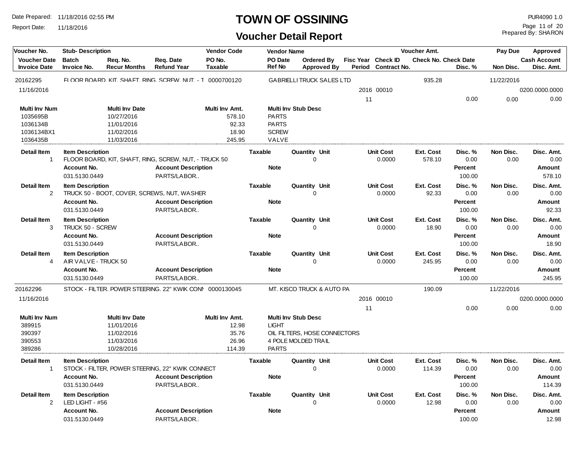Report Date: 11/18/2016

#### **TOWN OF OSSINING** PUR4090 1.0

## **Voucher Detail Report**

Prepared By: SHARON Page 11 of 20

| Voucher No.                                | <b>Vendor Code</b><br><b>Stub-Description</b><br><b>Vendor Name</b> |                                 |                                                           |                          |                   |                                  |                                  |        | <b>Voucher Amt.</b>                       |                             | Pay Due        | Approved   |                                   |
|--------------------------------------------|---------------------------------------------------------------------|---------------------------------|-----------------------------------------------------------|--------------------------|-------------------|----------------------------------|----------------------------------|--------|-------------------------------------------|-----------------------------|----------------|------------|-----------------------------------|
| <b>Voucher Date</b><br><b>Invoice Date</b> | <b>Batch</b><br><b>Invoice No.</b>                                  | Req. No.<br><b>Recur Months</b> | Req. Date<br><b>Refund Year</b>                           | PO No.<br><b>Taxable</b> | PO Date<br>Ref No |                                  | Ordered By<br><b>Approved By</b> | Period | Fisc Year Check ID<br><b>Contract No.</b> | <b>Check No. Check Date</b> | Disc. %        | Non Disc.  | <b>Cash Account</b><br>Disc. Amt. |
| 20162295                                   |                                                                     |                                 | FLOOR BOARD. KIT. SHAFT. RING. SCREW. NUT. - T 0000700120 |                          |                   | <b>GABRIELLI TRUCK SALES LTD</b> |                                  |        |                                           | 935.28                      |                | 11/22/2016 |                                   |
| 11/16/2016                                 |                                                                     |                                 |                                                           |                          |                   |                                  |                                  |        | 2016 00010                                |                             |                |            | 0200.0000.0000                    |
|                                            |                                                                     |                                 |                                                           |                          |                   |                                  |                                  | 11     |                                           |                             | 0.00           | 0.00       | 0.00                              |
| <b>Multi Inv Num</b>                       |                                                                     | <b>Multi Inv Date</b>           |                                                           | Multi Inv Amt.           |                   | <b>Multi Inv Stub Desc</b>       |                                  |        |                                           |                             |                |            |                                   |
| 1035695B                                   |                                                                     | 10/27/2016                      |                                                           | 578.10                   | <b>PARTS</b>      |                                  |                                  |        |                                           |                             |                |            |                                   |
| 1036134B                                   |                                                                     | 11/01/2016                      |                                                           | 92.33                    | <b>PARTS</b>      |                                  |                                  |        |                                           |                             |                |            |                                   |
| 1036134BX1                                 |                                                                     | 11/02/2016                      |                                                           | 18.90                    | <b>SCREW</b>      |                                  |                                  |        |                                           |                             |                |            |                                   |
| 1036435B                                   |                                                                     | 11/03/2016                      |                                                           | 245.95                   | VALVE             |                                  |                                  |        |                                           |                             |                |            |                                   |
| <b>Detail Item</b>                         | <b>Item Description</b>                                             |                                 |                                                           |                          | <b>Taxable</b>    | Quantity Unit                    |                                  |        | <b>Unit Cost</b>                          | <b>Ext. Cost</b>            | Disc. %        | Non Disc.  | Disc. Amt.                        |
| $\overline{1}$                             |                                                                     |                                 | FLOOR BOARD, KIT, SHAFT, RING, SCREW, NUT, - TRUCK 50     |                          |                   | $\Omega$                         |                                  |        | 0.0000                                    | 578.10                      | 0.00           | 0.00       | 0.00                              |
|                                            | <b>Account No.</b>                                                  |                                 | <b>Account Description</b>                                |                          | <b>Note</b>       |                                  |                                  |        |                                           |                             | Percent        |            | Amount                            |
|                                            | 031.5130.0449                                                       |                                 | PARTS/LABOR                                               |                          |                   |                                  |                                  |        |                                           |                             | 100.00         |            | 578.10                            |
| <b>Detail Item</b>                         | <b>Item Description</b>                                             |                                 |                                                           |                          | <b>Taxable</b>    | Quantity Unit                    |                                  |        | <b>Unit Cost</b>                          | <b>Ext. Cost</b>            | Disc. %        | Non Disc.  | Disc. Amt.                        |
| 2                                          |                                                                     |                                 | TRUCK 50 - BOOT, COVER, SCREWS, NUT, WASHER               |                          |                   | $\Omega$                         |                                  |        | 0.0000                                    | 92.33                       | 0.00           | 0.00       | 0.00                              |
|                                            | <b>Account No.</b>                                                  |                                 | <b>Account Description</b>                                |                          | <b>Note</b>       |                                  |                                  |        |                                           |                             | Percent        |            | Amount                            |
|                                            | 031.5130.0449                                                       |                                 | PARTS/LABOR                                               |                          |                   |                                  |                                  |        |                                           |                             | 100.00         |            | 92.33                             |
| <b>Detail Item</b>                         | <b>Item Description</b>                                             |                                 |                                                           |                          | <b>Taxable</b>    | <b>Quantity Unit</b>             |                                  |        | <b>Unit Cost</b>                          | <b>Ext. Cost</b>            | Disc. %        | Non Disc.  | Disc. Amt.                        |
| 3                                          | TRUCK 50 - SCREW                                                    |                                 |                                                           |                          |                   | $\Omega$                         |                                  |        | 0.0000                                    | 18.90                       | 0.00           | 0.00       | 0.00                              |
|                                            | <b>Account No.</b>                                                  |                                 | <b>Account Description</b>                                |                          | <b>Note</b>       |                                  |                                  |        |                                           |                             | Percent        |            | Amount                            |
|                                            | 031.5130.0449                                                       |                                 | PARTS/LABOR                                               |                          |                   |                                  |                                  |        |                                           |                             | 100.00         |            | 18.90                             |
| <b>Detail Item</b>                         | <b>Item Description</b>                                             |                                 |                                                           |                          | <b>Taxable</b>    | Quantity Unit                    |                                  |        | <b>Unit Cost</b>                          | Ext. Cost                   | Disc. %        | Non Disc.  | Disc. Amt.                        |
| 4                                          | AIR VALVE - TRUCK 50                                                |                                 |                                                           |                          |                   | $\Omega$                         |                                  |        | 0.0000                                    | 245.95                      | 0.00           | 0.00       | 0.00                              |
|                                            | Account No.                                                         |                                 | <b>Account Description</b>                                |                          | <b>Note</b>       |                                  |                                  |        |                                           |                             | <b>Percent</b> |            | Amount                            |
|                                            | 031.5130.0449                                                       |                                 | PARTS/LABOR                                               |                          |                   |                                  |                                  |        |                                           |                             | 100.00         |            | 245.95                            |
| 20162296                                   |                                                                     |                                 | STOCK - FII TFR. POWER STEFRING. 22" KWIK CONI 0000130045 |                          |                   | MT. KISCO TRUCK & AUTO PA        |                                  |        |                                           | 190.09                      |                | 11/22/2016 |                                   |
| 11/16/2016                                 |                                                                     |                                 |                                                           |                          |                   |                                  |                                  |        | 2016 00010                                |                             |                |            | 0200.0000.0000                    |
|                                            |                                                                     |                                 |                                                           |                          |                   |                                  |                                  | 11     |                                           |                             | 0.00           | 0.00       | 0.00                              |
| <b>Multi Inv Num</b>                       |                                                                     | <b>Multi Inv Date</b>           |                                                           | Multi Inv Amt.           |                   | <b>Multi Inv Stub Desc</b>       |                                  |        |                                           |                             |                |            |                                   |
| 389915                                     |                                                                     | 11/01/2016                      |                                                           | 12.98                    | <b>LIGHT</b>      |                                  |                                  |        |                                           |                             |                |            |                                   |
| 390397                                     |                                                                     | 11/02/2016                      |                                                           | 35.76                    |                   | OIL FILTERS, HOSE CONNECTORS     |                                  |        |                                           |                             |                |            |                                   |
| 390553                                     |                                                                     | 11/03/2016                      |                                                           | 26.96                    |                   | 4 POLE MOLDED TRAIL              |                                  |        |                                           |                             |                |            |                                   |
| 389286                                     |                                                                     | 10/28/2016                      |                                                           | 114.39                   | <b>PARTS</b>      |                                  |                                  |        |                                           |                             |                |            |                                   |
| <b>Detail Item</b>                         | <b>Item Description</b>                                             |                                 |                                                           |                          | <b>Taxable</b>    | Quantity Unit                    |                                  |        | <b>Unit Cost</b>                          | <b>Ext. Cost</b>            | Disc. %        | Non Disc.  | Disc. Amt.                        |
| $\mathbf{1}$                               |                                                                     |                                 | STOCK - FILTER, POWER STEERING, 22" KWIK CONNECT          |                          |                   | $\Omega$                         |                                  |        | 0.0000                                    | 114.39                      | 0.00           | 0.00       | 0.00                              |
|                                            | <b>Account No.</b>                                                  |                                 | <b>Account Description</b>                                |                          | <b>Note</b>       |                                  |                                  |        |                                           |                             | Percent        |            | Amount                            |
|                                            | 031.5130.0449                                                       |                                 | PARTS/LABOR                                               |                          |                   |                                  |                                  |        |                                           |                             | 100.00         |            | 114.39                            |
| <b>Detail Item</b>                         | <b>Item Description</b>                                             |                                 |                                                           |                          | <b>Taxable</b>    | <b>Quantity Unit</b>             |                                  |        | <b>Unit Cost</b>                          | <b>Ext. Cost</b>            | Disc. %        | Non Disc.  | Disc. Amt.                        |
| $\overline{2}$                             | LED LIGHT - #56                                                     |                                 |                                                           |                          |                   | $\mathbf 0$                      |                                  |        | 0.0000                                    | 12.98                       | 0.00           | 0.00       | 0.00                              |
|                                            | Account No.                                                         |                                 | <b>Account Description</b>                                |                          | <b>Note</b>       |                                  |                                  |        |                                           |                             | <b>Percent</b> |            | Amount                            |
|                                            | 031.5130.0449                                                       |                                 | PARTS/LABOR                                               |                          |                   |                                  |                                  |        |                                           |                             | 100.00         |            | 12.98                             |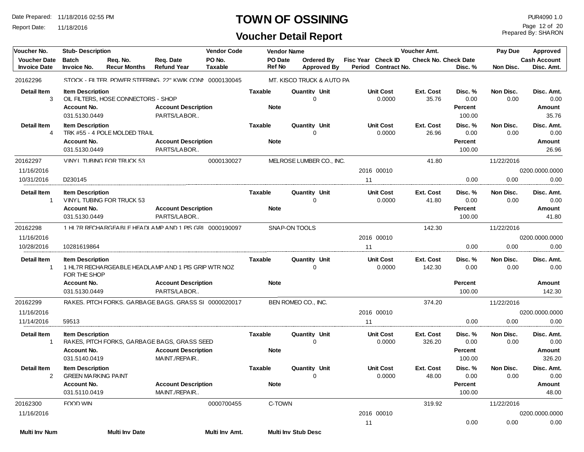Report Date: 11/18/2016

#### **TOWN OF OSSINING PUR4090 1.0**

## **Voucher Detail Report**

Prepared By: SHARON Page 12 of 20

| Voucher No.                                | <b>Stub- Description</b><br><b>Vendor Code</b>                       |                                     | <b>Vendor Name</b>                                                                          |                          |                               | Voucher Amt. |                                  |  |    | Pay Due<br>Approved                       |                             |                                      |                   |                                        |
|--------------------------------------------|----------------------------------------------------------------------|-------------------------------------|---------------------------------------------------------------------------------------------|--------------------------|-------------------------------|--------------|----------------------------------|--|----|-------------------------------------------|-----------------------------|--------------------------------------|-------------------|----------------------------------------|
| <b>Voucher Date</b><br><b>Invoice Date</b> | <b>Batch</b><br>Invoice No.                                          | Req. No.<br><b>Recur Months</b>     | Req. Date<br><b>Refund Year</b>                                                             | PO No.<br><b>Taxable</b> | PO Date<br><b>Ref No</b>      |              | Ordered By<br><b>Approved By</b> |  |    | Fisc Year Check ID<br>Period Contract No. | <b>Check No. Check Date</b> | Disc. %                              | Non Disc.         | <b>Cash Account</b><br>Disc. Amt.      |
| 20162296                                   |                                                                      |                                     | STOCK - FILTER. POWER STEERING. 22" KWIK CONI 0000130045                                    |                          |                               |              | MT. KISCO TRUCK & AUTO PA        |  |    |                                           |                             |                                      |                   |                                        |
| <b>Detail Item</b><br>3                    | <b>Item Description</b><br>Account No.<br>031.5130.0449              | OIL FILTERS, HOSE CONNECTORS - SHOP | <b>Account Description</b><br>PARTS/LABOR                                                   |                          | Taxable<br><b>Note</b>        |              | Quantity Unit<br>0               |  |    | <b>Unit Cost</b><br>0.0000                | Ext. Cost<br>35.76          | Disc. %<br>0.00<br>Percent<br>100.00 | Non Disc.<br>0.00 | Disc. Amt.<br>0.00<br>Amount<br>35.76  |
| <b>Detail Item</b><br>4                    | <b>Item Description</b><br>Account No.<br>031.5130.0449              | TRK #55 - 4 POLE MOLDED TRAIL       | <b>Account Description</b><br>PARTS/LABOR                                                   |                          | <b>Taxable</b><br><b>Note</b> |              | <b>Quantity Unit</b><br>$\Omega$ |  |    | <b>Unit Cost</b><br>0.0000                | <b>Ext. Cost</b><br>26.96   | Disc. %<br>0.00<br>Percent<br>100.00 | Non Disc.<br>0.00 | Disc. Amt.<br>0.00<br>Amount<br>26.96  |
| 20162297                                   |                                                                      | VINYI TUBING FOR TRUCK 53           |                                                                                             | 0000130027               |                               |              | MELROSE LUMBER CO., INC.         |  |    |                                           | 41.80                       |                                      | 11/22/2016        |                                        |
| 11/16/2016                                 |                                                                      |                                     |                                                                                             |                          |                               |              |                                  |  |    | 2016 00010                                |                             |                                      |                   | 0200.0000.0000                         |
| 10/31/2016                                 | D <sub>230145</sub>                                                  |                                     |                                                                                             |                          |                               |              |                                  |  | 11 |                                           |                             | 0.00                                 | 0.00              | 0.00                                   |
| Detail Item<br>$\mathbf{1}$                | <b>Item Description</b><br>Account No.<br>031.5130.0449              | VINYL TUBING FOR TRUCK 53           | <b>Account Description</b><br>PARTS/LABOR                                                   |                          | Taxable<br><b>Note</b>        |              | <b>Quantity Unit</b><br>0        |  |    | <b>Unit Cost</b><br>0.0000                | <b>Ext. Cost</b><br>41.80   | Disc. %<br>0.00<br>Percent<br>100.00 | Non Disc.<br>0.00 | Disc. Amt.<br>0.00<br>Amount<br>41.80  |
| 20162298                                   |                                                                      |                                     | 1 HI 7R RECHARGEARI E HEADI AMP AND 1 PIS GRI 0000190097                                    |                          |                               |              | SNAP-ON TOOLS                    |  |    |                                           | 142.30                      |                                      | 11/22/2016        |                                        |
| 11/16/2016                                 |                                                                      |                                     |                                                                                             |                          |                               |              |                                  |  |    | 2016 00010                                |                             |                                      |                   | 0200.0000.0000                         |
| 10/28/2016                                 | 10281619864                                                          |                                     |                                                                                             |                          |                               |              |                                  |  | 11 |                                           |                             | 0.00                                 | 0.00              | 0.00                                   |
| <b>Detail Item</b><br>1                    | <b>Item Description</b><br>FOR THE SHOP                              |                                     | 1 HL7R RECHARGEABLE HEADLAMP AND 1 PIS GRIP WTR NOZ                                         |                          | Taxable                       |              | Quantity Unit<br>0               |  |    | <b>Unit Cost</b><br>0.0000                | <b>Ext. Cost</b><br>142.30  | Disc. %<br>0.00                      | Non Disc.<br>0.00 | Disc. Amt.<br>0.00                     |
|                                            | Account No.<br>031.5130.0449                                         |                                     | <b>Account Description</b><br>PARTS/LABOR                                                   |                          | <b>Note</b>                   |              |                                  |  |    |                                           |                             | Percent<br>100.00                    |                   | Amount<br>142.30                       |
| 20162299                                   |                                                                      |                                     | RAKES PITCH FORKS GARBAGE BAGS GRASS SL 0000020017                                          |                          |                               |              | BEN ROMEO CO., INC.              |  |    |                                           | 374.20                      |                                      | 11/22/2016        |                                        |
| 11/16/2016                                 |                                                                      |                                     |                                                                                             |                          |                               |              |                                  |  |    | 2016 00010                                |                             |                                      |                   | 0200.0000.0000                         |
| 11/14/2016                                 | 59513                                                                |                                     |                                                                                             |                          |                               |              |                                  |  | 11 |                                           |                             | 0.00                                 | 0.00              | 0.00                                   |
| <b>Detail Item</b><br>$\mathbf{1}$         | <b>Item Description</b><br>Account No.<br>031.5140.0419              |                                     | RAKES, PITCH FORKS, GARBAGE BAGS, GRASS SEED<br><b>Account Description</b><br>MAINT./REPAIR |                          | Taxable<br><b>Note</b>        |              | <b>Quantity Unit</b><br>0        |  |    | <b>Unit Cost</b><br>0.0000                | Ext. Cost<br>326.20         | Disc. %<br>0.00<br>Percent<br>100.00 | Non Disc.<br>0.00 | Disc. Amt.<br>0.00<br>Amount<br>326.20 |
| Detail Item                                | <b>Item Description</b><br><b>GREEN MARKING PAINT</b><br>Account No. |                                     | <b>Account Description</b>                                                                  |                          | Taxable<br><b>Note</b>        |              | <b>Quantity Unit</b><br>0        |  |    | Unit Cost<br>0.0000                       | Ext. Cost<br>48.00          | Disc. %<br>0.00<br>Percent           | Non Disc.<br>0.00 | Disc. Amt.<br>0.00<br>Amount           |
|                                            | 031.5110.0419                                                        |                                     | MAINT./REPAIR                                                                               |                          |                               |              |                                  |  |    |                                           |                             | 100.00                               |                   | 48.00                                  |
| 20162300                                   | FOOD WIN                                                             |                                     |                                                                                             | 0000700455               | C-TOWN                        |              |                                  |  |    |                                           | 319.92                      |                                      | 11/22/2016        |                                        |
| 11/16/2016                                 |                                                                      |                                     |                                                                                             |                          |                               |              |                                  |  |    | 2016 00010                                |                             |                                      |                   | 0200.0000.0000                         |
| <b>Multi Inv Num</b>                       |                                                                      | <b>Multi Inv Date</b>               |                                                                                             | Multi Inv Amt.           |                               |              | Multi Inv Stub Desc              |  | 11 |                                           |                             | 0.00                                 | 0.00              | 0.00                                   |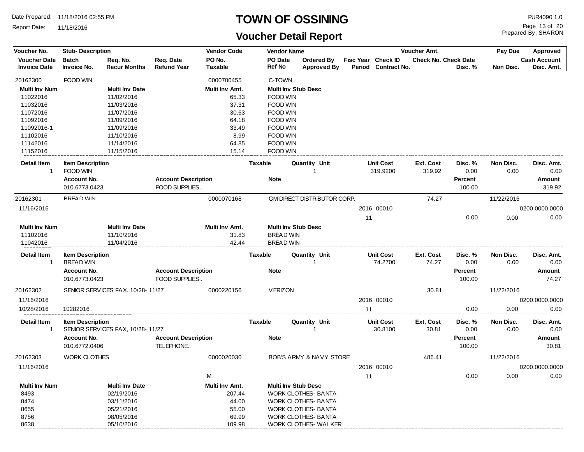Report Date: 11/18/2016

## **TOWN OF OSSINING**

## **Voucher Detail Report**

Prepared By: SHARON Page 13 of 20

| Voucher No.                                | <b>Stub-Description</b>                     |                                  | <b>Vendor Code</b>                          |                          |                   | <b>Vendor Name</b>                     |        | Voucher Amt.                              |                    |                                        | Pay Due<br><b>Approved</b> |                                   |  |
|--------------------------------------------|---------------------------------------------|----------------------------------|---------------------------------------------|--------------------------|-------------------|----------------------------------------|--------|-------------------------------------------|--------------------|----------------------------------------|----------------------------|-----------------------------------|--|
| <b>Voucher Date</b><br><b>Invoice Date</b> | <b>Batch</b><br>Invoice No.                 | Req. No.<br><b>Recur Months</b>  | Req. Date<br><b>Refund Year</b>             | PO No.<br><b>Taxable</b> | PO Date<br>Ref No | Ordered By<br><b>Approved By</b>       | Period | Fisc Year Check ID<br><b>Contract No.</b> |                    | <b>Check No. Check Date</b><br>Disc. % | Non Disc.                  | <b>Cash Account</b><br>Disc. Amt. |  |
| 20162300                                   | FOOD WIN                                    |                                  |                                             | 0000700455               | C-TOWN            |                                        |        |                                           |                    |                                        |                            |                                   |  |
| <b>Multi Inv Num</b>                       |                                             | <b>Multi Inv Date</b>            |                                             | Multi Inv Amt.           |                   | <b>Multi Inv Stub Desc</b>             |        |                                           |                    |                                        |                            |                                   |  |
| 11022016                                   |                                             | 11/02/2016                       |                                             | 65.33                    | <b>FOOD WIN</b>   |                                        |        |                                           |                    |                                        |                            |                                   |  |
| 11032016                                   |                                             | 11/03/2016                       |                                             | 37.31                    | <b>FOOD WIN</b>   |                                        |        |                                           |                    |                                        |                            |                                   |  |
| 11072016                                   |                                             | 11/07/2016                       |                                             | 30.63                    | <b>FOOD WIN</b>   |                                        |        |                                           |                    |                                        |                            |                                   |  |
| 11092016                                   |                                             | 11/09/2016                       |                                             | 64.18                    | <b>FOOD WIN</b>   |                                        |        |                                           |                    |                                        |                            |                                   |  |
| 11092016-1                                 |                                             | 11/09/2016                       |                                             | 33.49                    | <b>FOOD WIN</b>   |                                        |        |                                           |                    |                                        |                            |                                   |  |
| 11102016                                   |                                             | 11/10/2016                       |                                             | 8.99                     | <b>FOOD WIN</b>   |                                        |        |                                           |                    |                                        |                            |                                   |  |
| 11142016                                   |                                             | 11/14/2016                       |                                             | 64.85                    | <b>FOOD WIN</b>   |                                        |        |                                           |                    |                                        |                            |                                   |  |
| 11152016                                   |                                             | 11/15/2016                       |                                             | 15.14                    | <b>FOOD WIN</b>   |                                        |        |                                           |                    |                                        |                            |                                   |  |
| Detail Item                                | <b>Item Description</b>                     |                                  |                                             |                          | <b>Taxable</b>    | Quantity Unit                          |        | <b>Unit Cost</b>                          | Ext. Cost          | Disc. %                                | Non Disc.                  | Disc. Amt.                        |  |
| -1                                         | FOOD WIN                                    |                                  |                                             |                          |                   | $\mathbf{1}$                           |        | 319.9200                                  | 319.92             | 0.00                                   | 0.00                       | 0.00                              |  |
|                                            | Account No.                                 |                                  | <b>Account Description</b>                  |                          | <b>Note</b>       |                                        |        |                                           |                    | Percent                                |                            | Amount                            |  |
|                                            | 010.6773.0423                               |                                  | FOOD SUPPLIES                               |                          |                   |                                        |        |                                           |                    | 100.00                                 |                            | 319.92                            |  |
| 20162301                                   | <b>BRFAD WIN</b>                            |                                  |                                             | 0000070168               |                   | GM DIRECT DISTRIBUTOR CORP.            |        |                                           | 74.27              |                                        | 11/22/2016                 |                                   |  |
| 11/16/2016                                 |                                             |                                  |                                             |                          |                   |                                        |        | 2016 00010                                |                    |                                        |                            | 0200.0000.0000                    |  |
|                                            |                                             |                                  |                                             |                          |                   |                                        | 11     |                                           |                    | 0.00                                   | 0.00                       | 0.00                              |  |
| <b>Multi Inv Num</b>                       |                                             | <b>Multi Inv Date</b>            |                                             | Multi Inv Amt.           |                   | <b>Multi Inv Stub Desc</b>             |        |                                           |                    |                                        |                            |                                   |  |
| 11102016                                   |                                             | 11/10/2016                       |                                             | 31.83                    |                   | <b>BREAD WIN</b>                       |        |                                           |                    |                                        |                            |                                   |  |
| 11042016                                   |                                             | 11/04/2016                       |                                             | 42.44                    |                   | <b>BREAD WIN</b>                       |        |                                           |                    |                                        |                            |                                   |  |
| Detail Item<br>-1                          | <b>Item Description</b><br><b>BREAD WIN</b> |                                  |                                             |                          | <b>Taxable</b>    | Quantity Unit<br>$\mathbf{1}$          |        | <b>Unit Cost</b><br>74.2700               | Ext. Cost<br>74.27 | Disc. %<br>0.00                        | Non Disc.<br>0.00          | Disc. Amt.<br>0.00                |  |
|                                            | Account No.<br>010.6773.0423                |                                  | <b>Account Description</b><br>FOOD SUPPLIES |                          | <b>Note</b>       |                                        |        |                                           |                    | Percent<br>100.00                      |                            | Amount<br>74.27                   |  |
| 20162302                                   |                                             | SENIOR SERVICES FAX. 10/28-11/27 |                                             | 0000220156               | <b>VERIZON</b>    |                                        |        |                                           | 30.81              |                                        | 11/22/2016                 |                                   |  |
| 11/16/2016                                 |                                             |                                  |                                             |                          |                   |                                        |        | 2016 00010                                |                    |                                        |                            | 0200.0000.0000                    |  |
| 10/28/2016                                 | 10282016                                    |                                  |                                             |                          |                   |                                        | 11     |                                           |                    | 0.00                                   | 0.00                       | 0.00                              |  |
|                                            |                                             |                                  |                                             |                          |                   |                                        |        |                                           |                    |                                        |                            |                                   |  |
| Detail Item<br>-1                          | <b>Item Description</b>                     | SENIOR SERVICES FAX, 10/28-11/27 |                                             |                          | Taxable           | <b>Quantity Unit</b><br>$\overline{1}$ |        | <b>Unit Cost</b><br>30.8100               | Ext. Cost<br>30.81 | Disc. %<br>0.00                        | Non Disc.<br>0.00          | Disc. Amt.<br>0.00                |  |
|                                            | Account No.                                 |                                  | <b>Account Description</b>                  |                          | <b>Note</b>       |                                        |        |                                           |                    | Percent                                |                            | Amount                            |  |
|                                            | 010.6772.0406                               |                                  | TELEPHONE                                   |                          |                   |                                        |        |                                           |                    | 100.00                                 |                            | 30.81                             |  |
| 20162303                                   | <b>WORK CLOTHES</b>                         |                                  |                                             | 0000020030               |                   | BOB'S ARMY & NAVY STORE                |        |                                           | 486.41             |                                        | 11/22/2016                 |                                   |  |
| 11/16/2016                                 |                                             |                                  |                                             |                          |                   |                                        |        | 2016 00010                                |                    |                                        |                            | 0200.0000.0000                    |  |
|                                            |                                             |                                  |                                             | M                        |                   |                                        | 11     |                                           |                    | 0.00                                   | 0.00                       | 0.00                              |  |
| <b>Multi Inv Num</b>                       |                                             | <b>Multi Inv Date</b>            |                                             | Multi Inv Amt.           |                   | <b>Multi Inv Stub Desc</b>             |        |                                           |                    |                                        |                            |                                   |  |
| 8493                                       |                                             | 02/19/2016                       |                                             | 207.44                   |                   | WORK CLOTHES- BANTA                    |        |                                           |                    |                                        |                            |                                   |  |
| 8474                                       |                                             | 03/11/2016                       |                                             | 44.00                    |                   | <b>WORK CLOTHES- BANTA</b>             |        |                                           |                    |                                        |                            |                                   |  |
| 8655                                       |                                             | 05/21/2016                       |                                             | 55.00                    |                   | <b>WORK CLOTHES- BANTA</b>             |        |                                           |                    |                                        |                            |                                   |  |
| 8756                                       |                                             | 08/05/2016                       |                                             | 69.99                    |                   | <b>WORK CLOTHES- BANTA</b>             |        |                                           |                    |                                        |                            |                                   |  |
| 8638                                       |                                             | 05/10/2016                       |                                             | 109.98                   |                   | WORK CLOTHES- WALKER                   |        |                                           |                    |                                        |                            |                                   |  |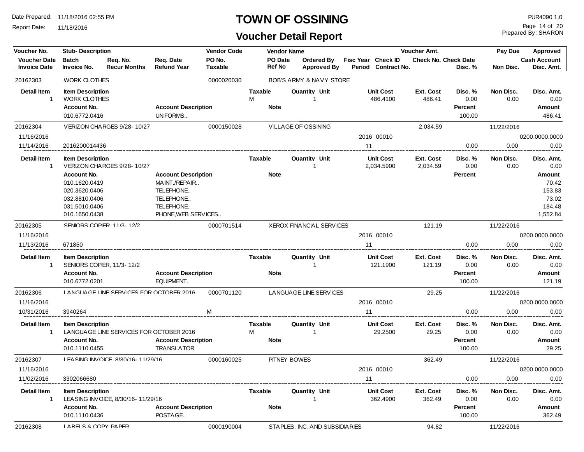Report Date: 11/18/2016

#### **TOWN OF OSSINING PUR4090 1.0**

## **Voucher Detail Report**

Prepared By: SHARON Page 14 of 20

| Voucher No.                 | <b>Stub-Description</b>                                 |                                          |                                                 | <b>Vendor Code</b> |                | <b>Vendor Name</b> |                                 |    |                              | <b>Voucher Amt.</b>         |                                      | Pay Due             | Approved                              |
|-----------------------------|---------------------------------------------------------|------------------------------------------|-------------------------------------------------|--------------------|----------------|--------------------|---------------------------------|----|------------------------------|-----------------------------|--------------------------------------|---------------------|---------------------------------------|
| <b>Voucher Date</b>         | <b>Batch</b>                                            | Req. No.                                 | Req. Date                                       | PO No.             | PO Date        |                    | Ordered By                      |    | Fisc Year Check ID           | <b>Check No. Check Date</b> |                                      | <b>Cash Account</b> |                                       |
| <b>Invoice Date</b>         | Invoice No.                                             | <b>Recur Months</b>                      | <b>Refund Year</b>                              | Taxable            |                | <b>Ref No</b>      | <b>Approved By</b>              |    | Period Contract No.          |                             | Disc. %                              | Non Disc.           | Disc. Amt.                            |
| 20162303                    | <b>WORK CLOTHES</b>                                     |                                          |                                                 | 0000020030         |                |                    | BOB'S ARMY & NAVY STORE         |    |                              |                             |                                      |                     |                                       |
| <b>Detail Item</b>          | <b>Item Description</b>                                 |                                          |                                                 |                    | <b>Taxable</b> |                    | <b>Quantity Unit</b>            |    | <b>Unit Cost</b>             | <b>Ext. Cost</b>            | Disc. %                              | Non Disc.           | Disc. Amt.                            |
| $\mathbf{1}$                | <b>WORK CLOTHES</b>                                     |                                          |                                                 |                    | М              |                    |                                 |    | 486.4100                     | 486.41                      | 0.00                                 | 0.00                | 0.00                                  |
|                             | Account No.                                             |                                          | <b>Account Description</b><br>UNIFORMS          |                    |                | <b>Note</b>        |                                 |    |                              |                             | Percent                              |                     | Amount                                |
|                             | 010.6772.0416                                           |                                          |                                                 |                    |                |                    |                                 |    |                              |                             | 100.00                               |                     | 486.41                                |
| 20162304                    |                                                         | VFRIZON CHARGES 9/28-10/27               |                                                 | 0000150028         |                |                    | VILLAGE OF OSSINING             |    |                              | 2,034.59                    |                                      | 11/22/2016          |                                       |
| 11/16/2016                  |                                                         |                                          |                                                 |                    |                |                    |                                 |    | 2016 00010                   |                             |                                      |                     | 0200.0000.0000                        |
| 11/14/2016                  | 2016200014436                                           |                                          |                                                 |                    |                |                    |                                 | 11 |                              |                             | 0.00                                 | 0.00                | 0.00                                  |
| <b>Detail Item</b>          | <b>Item Description</b>                                 |                                          |                                                 |                    | Taxable        |                    | Quantity Unit                   |    | <b>Unit Cost</b>             | Ext. Cost                   | Disc. %                              | Non Disc.           | Disc. Amt.                            |
| $\mathbf{1}$                |                                                         | VERIZON CHARGES 9/28-10/27               |                                                 |                    |                |                    |                                 |    | 2,034.5900                   | 2,034.59                    | 0.00                                 | 0.00                | 0.00                                  |
|                             | Account No.<br>010.1620.0419                            |                                          | <b>Account Description</b><br>MAINT./REPAIR     |                    |                | <b>Note</b>        |                                 |    |                              |                             | Percent                              |                     | Amount<br>70.42                       |
|                             | 020.3620.0406                                           |                                          | TELEPHONE                                       |                    |                |                    |                                 |    |                              |                             |                                      |                     | 153.83                                |
|                             | 032.8810.0406                                           |                                          | TELEPHONE                                       |                    |                |                    |                                 |    |                              |                             |                                      |                     | 73.02                                 |
|                             | 031.5010.0406                                           |                                          | TELEPHONE                                       |                    |                |                    |                                 |    |                              |                             |                                      |                     | 184.48                                |
|                             | 010.1650.0438                                           |                                          | PHONE, WEB SERVICES                             |                    |                |                    |                                 |    |                              |                             |                                      |                     | 1,552.84                              |
| 20162305                    |                                                         | SENIORS COPIER. 11/3-12/2                |                                                 | 0000701514         |                |                    | <b>XEROX FINANCIAL SERVICES</b> |    |                              | 121.19                      |                                      | 11/22/2016          |                                       |
| 11/16/2016                  |                                                         |                                          |                                                 |                    |                |                    |                                 |    | 2016 00010                   |                             |                                      |                     | 0200.0000.0000                        |
| 11/13/2016                  | 671850                                                  |                                          |                                                 |                    |                |                    |                                 | 11 |                              |                             | 0.00                                 | 0.00                | 0.00                                  |
| <b>Detail Item</b><br>-1    | <b>Item Description</b>                                 | SENIORS COPIER, 11/3-12/2                |                                                 |                    | Taxable        |                    | Quantity Unit                   |    | <b>Unit Cost</b><br>121.1900 | Ext. Cost<br>121.19         | Disc. %<br>0.00                      | Non Disc.<br>0.00   | Disc. Amt.<br>0.00                    |
|                             | Account No.<br>010.6772.0201                            |                                          | <b>Account Description</b><br>EQUIPMENT         |                    |                | <b>Note</b>        |                                 |    |                              |                             | Percent<br>100.00                    |                     | Amount<br>121.19                      |
| 20162306                    |                                                         | I ANGUAGE LINE SERVICES FOR OCTOBER 2016 |                                                 | 0000701120         |                |                    | LANGUAGE LINE SERVICES          |    |                              | 29.25                       |                                      | 11/22/2016          |                                       |
| 11/16/2016                  |                                                         |                                          |                                                 |                    |                |                    |                                 |    | 2016 00010                   |                             |                                      |                     | 0200.0000.0000                        |
| 10/31/2016                  | 3940264                                                 |                                          |                                                 | M                  |                |                    |                                 | 11 |                              |                             | 0.00                                 | 0.00                | 0.00                                  |
| Detail Item<br>$\mathbf{1}$ | <b>Item Description</b><br>Account No.<br>010.1110.0455 | LANGUAGE LINE SERVICES FOR OCTOBER 2016  | <b>Account Description</b><br><b>TRANSLATOR</b> |                    | Taxable<br>M   | <b>Note</b>        | Quantity Unit                   |    | <b>Unit Cost</b><br>29.2500  | Ext. Cost<br>29.25          | Disc. %<br>0.00<br>Percent<br>100.00 | Non Disc.<br>0.00   | Disc. Amt.<br>0.00<br>Amount<br>29.25 |
| 20162307                    |                                                         | LEASING INVOICE. 8/30/16-11/29/16        |                                                 | 0000160025         |                |                    | PITNEY BOWES                    |    |                              | 362.49                      |                                      | 11/22/2016          |                                       |
| 11/16/2016                  |                                                         |                                          |                                                 |                    |                |                    |                                 |    | 2016 00010                   |                             |                                      |                     | 0200.0000.0000                        |
| 11/02/2016                  | 3302066680                                              |                                          |                                                 |                    |                |                    |                                 | 11 |                              |                             | 0.00                                 | 0.00                | 0.00                                  |
|                             |                                                         |                                          |                                                 |                    |                |                    |                                 |    |                              |                             |                                      |                     |                                       |
| <b>Detail Item</b><br>-1    | <b>Item Description</b>                                 | LEASING INVOICE, 8/30/16-11/29/16        |                                                 |                    | Taxable        |                    | Quantity Unit                   |    | <b>Unit Cost</b><br>362.4900 | Ext. Cost<br>362.49         | Disc. %<br>0.00                      | Non Disc.<br>0.00   | Disc. Amt.<br>0.00                    |
|                             | Account No.                                             |                                          | <b>Account Description</b>                      |                    |                | <b>Note</b>        |                                 |    |                              |                             | Percent                              |                     | Amount                                |
|                             | 010.1110.0436                                           |                                          | POSTAGE                                         |                    |                |                    |                                 |    |                              |                             | 100.00                               |                     | 362.49                                |
| 20162308                    | IA RFIS & COPY PAPER                                    |                                          |                                                 | 0000190004         |                |                    | STAPLES, INC. AND SUBSIDIARIES  |    |                              | 94.82                       |                                      | 11/22/2016          |                                       |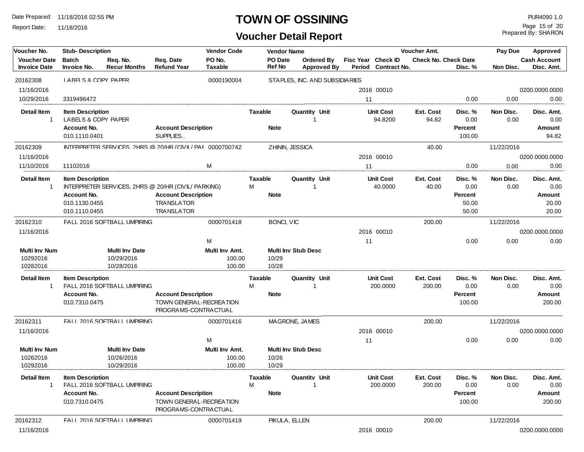Report Date: 11/18/2016

## **TOWN OF OSSINING** PUR4090 1.0

Prepared By: SHARON Page 15 of 20

| Voucher No.                                | <b>Stub-Description</b>                        |                                                             |                                                 | <b>Vendor Code</b>       |                |                          | <b>Vendor Name</b>                      | Voucher Amt.       |                              |                      |                   | Pay Due           | Approved                          |
|--------------------------------------------|------------------------------------------------|-------------------------------------------------------------|-------------------------------------------------|--------------------------|----------------|--------------------------|-----------------------------------------|--------------------|------------------------------|----------------------|-------------------|-------------------|-----------------------------------|
| <b>Voucher Date</b><br><b>Invoice Date</b> | <b>Batch</b><br>Invoice No.                    | Req. No.<br><b>Recur Months</b>                             | Req. Date<br><b>Refund Year</b>                 | PO No.<br><b>Taxable</b> |                | PO Date<br><b>Ref No</b> | <b>Ordered By</b><br><b>Approved By</b> | Fisc Year Check ID | Period Contract No.          | Check No. Check Date | Disc. %           | Non Disc.         | <b>Cash Account</b><br>Disc. Amt. |
| 20162308                                   | LABELS & COPY PAPER                            |                                                             |                                                 | 0000190004               |                |                          | STAPLES, INC. AND SUBSIDIARIES          |                    |                              |                      |                   |                   |                                   |
| 11/16/2016                                 |                                                |                                                             |                                                 |                          |                |                          |                                         |                    | 2016 00010                   |                      |                   |                   | 0200.0000.0000                    |
| 10/29/2016                                 | 3319496472                                     |                                                             |                                                 |                          |                |                          |                                         | 11                 |                              |                      | 0.00              | 0.00              | 0.00                              |
| <b>Detail Item</b><br>$\mathbf{1}$         | <b>Item Description</b><br>LABELS & COPY PAPER |                                                             |                                                 |                          | <b>Taxable</b> |                          | Quantity Unit<br>-1                     |                    | <b>Unit Cost</b><br>94.8200  | Ext. Cost<br>94.82   | Disc. %<br>0.00   | Non Disc.<br>0.00 | Disc. Amt.<br>0.00                |
|                                            | Account No.<br>010.1110.0401                   |                                                             | <b>Account Description</b><br>SUPPLIES          |                          | <b>Note</b>    |                          |                                         |                    |                              |                      | Percent<br>100.00 |                   | Amount<br>94.82                   |
| 20162309                                   |                                                | INTERPRETER SERVICES. 2HRS @ 20/HR (CIVII / PAI 0000700742) |                                                 |                          |                |                          | ZHININ, JESSICA                         |                    |                              | 40.00                |                   | 11/22/2016        |                                   |
| 11/16/2016                                 |                                                |                                                             |                                                 |                          |                |                          |                                         |                    | 2016 00010                   |                      |                   |                   | 0200.0000.0000                    |
| 11/10/2016                                 | 11102016                                       |                                                             |                                                 | M                        |                |                          |                                         | 11                 |                              |                      | 0.00              | 0.00              | 0.00                              |
| <b>Detail Item</b>                         | <b>Item Description</b>                        |                                                             |                                                 |                          | <b>Taxable</b> |                          | Quantity Unit                           |                    | <b>Unit Cost</b>             | Ext. Cost            | Disc. %           | Non Disc.         | Disc. Amt.                        |
| $\overline{1}$                             |                                                | INTERPRETER SERVICES, 2HRS @ 20/HR (CIVIL/ PARKING)         |                                                 |                          | M              |                          | -1                                      |                    | 40.0000                      | 40.00                | 0.00              | 0.00              | 0.00                              |
|                                            | Account No.                                    |                                                             | <b>Account Description</b>                      |                          | <b>Note</b>    |                          |                                         |                    |                              |                      | <b>Percent</b>    |                   | Amount                            |
|                                            | 010.1130.0455                                  |                                                             | <b>TRANSLATOR</b>                               |                          |                |                          |                                         |                    |                              |                      | 50.00             |                   | 20.00                             |
|                                            | 010.1110.0455                                  |                                                             | <b>TRANSLATOR</b>                               |                          |                |                          |                                         |                    |                              |                      | 50.00             |                   | 20.00                             |
| 20162310                                   |                                                | FAIL 2016 SOFTBALL UMPIRING                                 |                                                 | 0000701418               |                | BONCI, VIC               |                                         |                    |                              | 200.00               |                   | 11/22/2016        |                                   |
| 11/16/2016                                 |                                                |                                                             |                                                 |                          |                |                          |                                         |                    | 2016 00010                   |                      |                   |                   | 0200.0000.0000                    |
|                                            |                                                |                                                             |                                                 | M                        |                |                          |                                         | 11                 |                              |                      | 0.00              | 0.00              | 0.00                              |
| Multi Inv Num                              |                                                | <b>Multi Inv Date</b>                                       |                                                 | Multi Inv Amt.           |                |                          | <b>Multi Inv Stub Desc</b>              |                    |                              |                      |                   |                   |                                   |
| 10292016                                   |                                                | 10/29/2016                                                  |                                                 | 100.00                   | 10/29          |                          |                                         |                    |                              |                      |                   |                   |                                   |
| 10282016                                   |                                                | 10/28/2016                                                  |                                                 | 100.00                   | 10/28          |                          |                                         |                    |                              |                      |                   |                   |                                   |
| <b>Detail Item</b>                         | <b>Item Description</b>                        |                                                             |                                                 |                          | <b>Taxable</b> |                          | Quantity Unit                           |                    | <b>Unit Cost</b>             | Ext. Cost            | Disc. %           | Non Disc.         | Disc. Amt.                        |
| $\mathbf{1}$                               |                                                | FALL 2016 SOFTBALL UMPIRING                                 |                                                 |                          | М              |                          | -1                                      |                    | 200.0000                     | 200.00               | 0.00              | 0.00              | 0.00                              |
|                                            | Account No.                                    |                                                             | <b>Account Description</b>                      |                          | <b>Note</b>    |                          |                                         |                    |                              |                      | <b>Percent</b>    |                   | Amount                            |
|                                            | 010.7310.0475                                  |                                                             | TOWN GENERAL-RECREATION<br>PROGRAMS-CONTRACTUAL |                          |                |                          |                                         |                    |                              |                      | 100.00            |                   | 200.00                            |
| 20162311                                   |                                                | FAIL 2016 SOFTBALL UMPIRING                                 |                                                 | 0000701416               |                |                          | MAGRONE, JAMES                          |                    |                              | 200.00               |                   | 11/22/2016        |                                   |
| 11/16/2016                                 |                                                |                                                             |                                                 |                          |                |                          |                                         |                    | 2016 00010                   |                      |                   |                   | 0200.0000.0000                    |
|                                            |                                                |                                                             |                                                 | M                        |                |                          |                                         | 11                 |                              |                      | 0.00              | 0.00              | 0.00                              |
| <b>Multi Inv Num</b>                       |                                                | <b>Multi Inv Date</b>                                       |                                                 | Multi Inv Amt.           |                |                          | <b>Multi Inv Stub Desc</b>              |                    |                              |                      |                   |                   |                                   |
| 10262016                                   |                                                | 10/26/2016                                                  |                                                 | 100.00                   | 10/26          |                          |                                         |                    |                              |                      |                   |                   |                                   |
| 10292016                                   |                                                | 10/29/2016                                                  |                                                 | 100.00                   | 10/29          |                          |                                         |                    |                              |                      |                   |                   |                                   |
| <b>Detail Item</b><br>$\overline{1}$       | <b>Item Description</b>                        | FALL 2016 SOFTBALL UMPIRING                                 |                                                 |                          | Taxable<br>M   |                          | <b>Quantity Unit</b><br>-1              |                    | <b>Unit Cost</b><br>200.0000 | Ext. Cost<br>200.00  | Disc. %<br>0.00   | Non Disc.<br>0.00 | Disc. Amt.<br>0.00                |
|                                            | Account No.                                    |                                                             | <b>Account Description</b>                      |                          | <b>Note</b>    |                          |                                         |                    |                              |                      | <b>Percent</b>    |                   | Amount                            |
|                                            | 010.7310.0475                                  |                                                             | TOWN GENERAL-RECREATION<br>PROGRAMS-CONTRACTUAL |                          |                |                          |                                         |                    |                              |                      | 100.00            |                   | 200.00                            |
| 20162312                                   |                                                | FAIL 2016 SOFTBALL UMPIRING                                 |                                                 | 0000701419               |                |                          | PIKULA, ELLEN                           |                    |                              | 200.00               |                   | 11/22/2016        |                                   |
| 11/16/2016                                 |                                                |                                                             |                                                 |                          |                |                          |                                         |                    | 2016 00010                   |                      |                   |                   | 0200.0000.0000                    |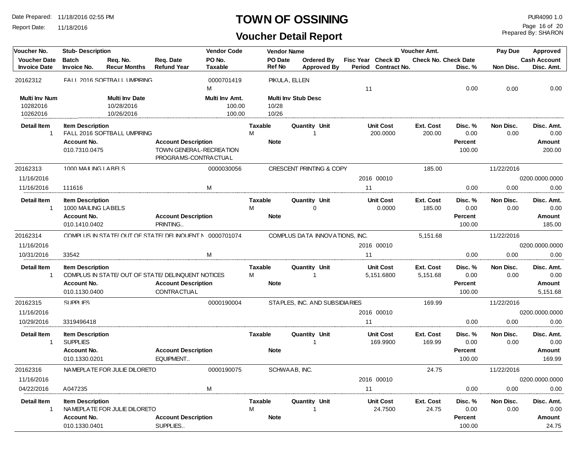Report Date: 11/18/2016

#### **TOWN OF OSSINING PUR4090 1.0**

## **Voucher Detail Report**

Prepared By: SHARON Page 16 of 20

| Voucher No.                                  | <b>Stub-Description</b>                                                        |                                                           |                                                                               | <b>Vendor Code</b>                 |                     | <b>Vendor Name</b> |                                     |    |                              | Voucher Amt.               |                                      | Pay Due           | Approved                               |  |
|----------------------------------------------|--------------------------------------------------------------------------------|-----------------------------------------------------------|-------------------------------------------------------------------------------|------------------------------------|---------------------|--------------------|-------------------------------------|----|------------------------------|----------------------------|--------------------------------------|-------------------|----------------------------------------|--|
| <b>Voucher Date</b>                          | <b>Batch</b>                                                                   | Reg. No.                                                  | Req. Date                                                                     | PO No.                             |                     | PO Date            | Ordered By                          |    | Fisc Year Check ID           |                            | <b>Check No. Check Date</b>          |                   | <b>Cash Account</b>                    |  |
| <b>Invoice Date</b>                          | Invoice No.                                                                    | <b>Recur Months</b>                                       | <b>Refund Year</b>                                                            | <b>Taxable</b>                     |                     | Ref No             | <b>Approved By</b>                  |    | Period Contract No.          |                            | Disc. %                              | Non Disc.         | Disc. Amt.                             |  |
| 20162312                                     |                                                                                | FALL 2016 SOFTBALL UMPIRING                               |                                                                               | 0000701419<br>M                    |                     | PIKULA, ELLEN      |                                     | 11 |                              |                            | 0.00                                 | 0.00              | 0.00                                   |  |
| <b>Multi Inv Num</b><br>10282016<br>10262016 |                                                                                | <b>Multi Inv Date</b><br>10/28/2016<br>10/26/2016         |                                                                               | Multi Inv Amt.<br>100.00<br>100.00 |                     | 10/28<br>10/26     | <b>Multi Inv Stub Desc</b>          |    |                              |                            |                                      |                   |                                        |  |
| <b>Detail Item</b><br>$\mathbf{1}$           | <b>Item Description</b><br>Account No.<br>010.7310.0475                        | FALL 2016 SOFTBALL UMPIRING                               | <b>Account Description</b><br>TOWN GENERAL-RECREATION<br>PROGRAMS-CONTRACTUAL |                                    | <b>Taxable</b><br>M | <b>Note</b>        | Quantity Unit                       |    | <b>Unit Cost</b><br>200.0000 | Ext. Cost<br>200.00        | Disc. %<br>0.00<br>Percent<br>100.00 | Non Disc.<br>0.00 | Disc. Amt.<br>0.00<br>Amount<br>200.00 |  |
| 20162313                                     | 1000 MAILING LABELS                                                            |                                                           |                                                                               | 0000030056                         |                     |                    | <b>CRESCENT PRINTING &amp; COPY</b> |    |                              | 185.00                     |                                      | 11/22/2016        |                                        |  |
| 11/16/2016                                   |                                                                                |                                                           |                                                                               |                                    |                     |                    |                                     |    | 2016 00010                   |                            |                                      |                   | 0200.0000.0000                         |  |
| 11/16/2016                                   | 111616                                                                         |                                                           |                                                                               | M                                  |                     |                    |                                     | 11 |                              |                            | 0.00                                 | 0.00              | 0.00                                   |  |
| <b>Detail Item</b><br>$\mathbf{1}$           | <b>Item Description</b><br>1000 MAILING LABELS<br>Account No.<br>010.1410.0402 |                                                           | <b>Account Description</b><br>PRINTING                                        |                                    | <b>Taxable</b><br>М | <b>Note</b>        | Quantity Unit<br>$\Omega$           |    | <b>Unit Cost</b><br>0.0000   | Ext. Cost<br>185.00        | Disc. %<br>0.00<br>Percent<br>100.00 | Non Disc.<br>0.00 | Disc. Amt.<br>0.00<br>Amount<br>185.00 |  |
| 20162314                                     |                                                                                | COMPILIS IN STATE/OLIT OF STATE/ DELINOLIENT N 0000701074 |                                                                               |                                    |                     |                    | COMPLUS DATA INNOVATIONS, INC.      |    |                              | 5,151.68                   |                                      | 11/22/2016        |                                        |  |
| 11/16/2016                                   |                                                                                |                                                           |                                                                               |                                    |                     |                    |                                     |    | 2016 00010                   |                            |                                      |                   | 0200.0000.0000                         |  |
| 10/31/2016                                   | 33542                                                                          |                                                           |                                                                               | M                                  |                     |                    |                                     | 11 |                              |                            | 0.00                                 | 0.00              | 0.00                                   |  |
| <b>Detail Item</b>                           | <b>Item Description</b>                                                        |                                                           |                                                                               |                                    | <b>Taxable</b>      |                    | Quantity Unit                       |    | <b>Unit Cost</b>             | <b>Ext. Cost</b>           | Disc. %                              | Non Disc.         | Disc. Amt.                             |  |
| $\overline{1}$                               |                                                                                | COMPLUS IN STATE/OUT OF STATE/DELINQUENT NOTICES          |                                                                               |                                    | м                   |                    | $\mathbf 1$                         |    | 5,151.6800                   | 5,151.68                   | 0.00                                 | 0.00              | 0.00                                   |  |
|                                              | Account No.<br>010.1130.0400                                                   |                                                           | <b>Account Description</b><br>CONTRACTUAL                                     |                                    |                     | <b>Note</b>        |                                     |    |                              |                            | Percent<br>100.00                    |                   | Amount<br>5.151.68                     |  |
| 20162315                                     | SUPPLIES                                                                       |                                                           |                                                                               | 0000190004                         |                     |                    | STAPLES, INC. AND SUBSIDIARIES      |    |                              | 169.99                     |                                      | 11/22/2016        |                                        |  |
| 11/16/2016                                   |                                                                                |                                                           |                                                                               |                                    |                     |                    |                                     |    | 2016 00010                   |                            |                                      |                   | 0200.0000.0000                         |  |
| 10/29/2016                                   | 3319496418                                                                     |                                                           |                                                                               |                                    |                     |                    |                                     | 11 |                              |                            | 0.00                                 | 0.00              | 0.00                                   |  |
| <b>Detail Item</b><br>$\mathbf{1}$           | <b>Item Description</b><br><b>SUPPLIES</b>                                     |                                                           |                                                                               |                                    | <b>Taxable</b>      |                    | Quantity Unit<br>$\overline{1}$     |    | <b>Unit Cost</b><br>169.9900 | <b>Ext. Cost</b><br>169.99 | Disc. %<br>0.00                      | Non Disc.<br>0.00 | Disc. Amt.<br>0.00                     |  |
|                                              | Account No.<br>010.1330.0201                                                   |                                                           | <b>Account Description</b><br>EQUIPMENT                                       |                                    |                     | <b>Note</b>        |                                     |    |                              |                            | Percent<br>100.00                    |                   | Amount<br>169.99                       |  |
| 20162316                                     |                                                                                | NAMEPIATE FOR JULIE DILORETO                              |                                                                               | 0000190075                         |                     | SCHWAAB, INC.      |                                     |    |                              | 24.75                      |                                      | 11/22/2016        |                                        |  |
| 11/16/2016                                   |                                                                                |                                                           |                                                                               |                                    |                     |                    |                                     |    | 2016 00010                   |                            |                                      |                   | 0200.0000.0000                         |  |
| 04/22/2016                                   | A047235                                                                        |                                                           |                                                                               | M                                  |                     |                    |                                     | 11 |                              |                            | 0.00                                 | 0.00              | 0.00                                   |  |
| <b>Detail Item</b><br>$\mathbf{1}$           | <b>Item Description</b><br>Account No.<br>010.1330.0401                        | NAMEPLATE FOR JULIE DILORETO                              | <b>Account Description</b><br>SUPPLIES                                        |                                    | <b>Taxable</b><br>М | <b>Note</b>        | Quantity Unit<br>-1                 |    | <b>Unit Cost</b><br>24.7500  | Ext. Cost<br>24.75         | Disc. %<br>0.00<br>Percent<br>100.00 | Non Disc.<br>0.00 | Disc. Amt.<br>0.00<br>Amount<br>24.75  |  |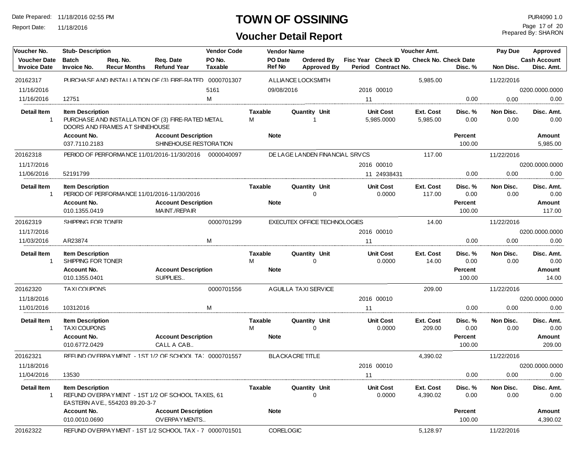Report Date: 11/18/2016

#### **TOWN OF OSSINING** PUR4090 1.0

## **Voucher Detail Report**

Prepared By: SHARON Page 17 of 20

| Voucher No.                 | <b>Stub-Description</b>                                                       |                                |                                                                                | <b>Vendor Code</b> |                                    | <b>Vendor Name</b> |                                     |                    |                                | Voucher Amt.                |                                      | Pay Due             | Approved                               |
|-----------------------------|-------------------------------------------------------------------------------|--------------------------------|--------------------------------------------------------------------------------|--------------------|------------------------------------|--------------------|-------------------------------------|--------------------|--------------------------------|-----------------------------|--------------------------------------|---------------------|----------------------------------------|
| <b>Voucher Date</b>         | <b>Batch</b>                                                                  | Req. No.                       | Reg. Date                                                                      | PO No.             |                                    | PO Date            | Ordered By                          | Fisc Year Check ID |                                | <b>Check No. Check Date</b> |                                      | <b>Cash Account</b> |                                        |
| <b>Invoice Date</b>         | Invoice No.                                                                   | <b>Recur Months</b>            | <b>Refund Year</b>                                                             | <b>Taxable</b>     | <b>Ref No</b>                      |                    | <b>Approved By</b>                  |                    | Period Contract No.            |                             | Disc. %                              | Non Disc.           | Disc. Amt.                             |
| 20162317                    |                                                                               |                                | PURCHASE AND INSTALLATION OF (3) FIRE-RATED 0000701307                         |                    |                                    |                    | A LLIANCE LOCKSMITH                 |                    |                                | 5,985.00                    |                                      | 11/22/2016          |                                        |
| 11/16/2016                  |                                                                               |                                |                                                                                | 5161               |                                    | 09/08/2016         |                                     |                    | 2016 00010                     |                             |                                      |                     | 0200.0000.0000                         |
| 11/16/2016                  | 12751                                                                         |                                |                                                                                | M                  |                                    |                    |                                     | 11                 |                                |                             | 0.00                                 | 0.00                | 0.00                                   |
| <b>Detail Item</b><br>1     | <b>Item Description</b>                                                       | DOORS AND FRAMES AT SHINEHOUSE | PURCHASE AND INSTALLATION OF (3) FIRE-RATED METAL                              |                    | Taxable<br>м                       |                    | Quantity Unit<br>$\overline{1}$     |                    | <b>Unit Cost</b><br>5,985.0000 | Ext. Cost<br>5,985.00       | Disc. %<br>0.00                      | Non Disc.<br>0.00   | Disc. Amt.<br>0.00                     |
|                             | Account No.<br>037.7110.2183                                                  |                                | <b>Account Description</b><br>SHINEHOUSE RESTORATION                           |                    | <b>Note</b>                        |                    |                                     |                    |                                |                             | Percent<br>100.00                    |                     | Amount<br>5,985.00                     |
| 20162318                    |                                                                               |                                | PERIOD OF PERFORMANCE 11/01/2016-11/30/2016 0000040097                         |                    |                                    |                    | DE LAGE LANDEN FINANCIAL SRVCS      |                    |                                | 117.00                      |                                      | 11/22/2016          |                                        |
| 11/17/2016                  |                                                                               |                                |                                                                                |                    |                                    |                    |                                     |                    | 2016 00010                     |                             |                                      |                     | 0200.0000.0000                         |
| 11/06/2016                  | 52191799                                                                      |                                |                                                                                |                    |                                    |                    |                                     |                    | 11 24938431                    |                             | 0.00                                 | 0.00                | 0.00                                   |
| <b>Detail Item</b><br>-1    | <b>Item Description</b><br>Account No.                                        |                                | PERIOD OF PERFORMANCE 11/01/2016-11/30/2016<br><b>Account Description</b>      |                    | Taxable<br><b>Note</b>             |                    | Quantity Unit<br>$\Omega$           |                    | <b>Unit Cost</b><br>0.0000     | Ext. Cost<br>117.00         | Disc. %<br>0.00<br>Percent           | Non Disc.<br>0.00   | Disc. Amt.<br>0.00<br>Amount           |
|                             | 010.1355.0419                                                                 |                                | MAINT./REPAIR                                                                  |                    |                                    |                    |                                     |                    |                                |                             | 100.00                               |                     | 117.00                                 |
| 20162319                    | SHIPPING FOR TONFR                                                            |                                |                                                                                | 0000701299         |                                    |                    | <b>EXECUTEX OFFICE TECHNOLOGIES</b> |                    |                                | 14.00                       |                                      | 11/22/2016          |                                        |
| 11/17/2016                  |                                                                               |                                |                                                                                |                    |                                    |                    |                                     |                    | 2016 00010                     |                             |                                      |                     | 0200.0000.0000                         |
| 11/03/2016                  | AR23874                                                                       |                                |                                                                                | M                  |                                    |                    |                                     | 11                 |                                |                             | 0.00                                 | 0.00                | 0.00                                   |
| <b>Detail Item</b><br>1     | <b>Item Description</b><br>SHIPPING FOR TONER<br>Account No.<br>010.1355.0401 |                                | <b>Account Description</b><br>SUPPLIES                                         |                    | <b>Taxable</b><br>M<br><b>Note</b> |                    | <b>Quantity Unit</b><br>$\Omega$    |                    | <b>Unit Cost</b><br>0.0000     | Ext. Cost<br>14.00          | Disc. %<br>0.00<br>Percent<br>100.00 | Non Disc.<br>0.00   | Disc. Amt.<br>0.00<br>Amount<br>14.00  |
| 20162320                    | TA XI COLIPONS                                                                |                                |                                                                                | 0000701556         |                                    |                    | AGUILLA TAXI SERVICE                |                    |                                | 209.00                      |                                      | 11/22/2016          |                                        |
| 11/18/2016                  |                                                                               |                                |                                                                                |                    |                                    |                    |                                     |                    | 2016 00010                     |                             |                                      |                     | 0200.0000.0000                         |
| 11/01/2016                  | 10312016                                                                      |                                |                                                                                | м                  |                                    |                    |                                     | 11                 |                                |                             | 0.00                                 | 0.00                | 0.00                                   |
| <b>Detail Item</b><br>-1    | <b>Item Description</b><br>TAXI COUPONS<br>Account No.<br>010.6772.0429       |                                | <b>Account Description</b><br>CALL A CAB                                       |                    | Taxable<br>м<br><b>Note</b>        |                    | <b>Quantity Unit</b><br>$\Omega$    |                    | <b>Unit Cost</b><br>0.0000     | Ext. Cost<br>209.00         | Disc. %<br>0.00<br>Percent<br>100.00 | Non Disc.<br>0.00   | Disc. Amt.<br>0.00<br>Amount<br>209.00 |
| 20162321                    |                                                                               |                                | RFFUND OV FRPAYMENT - 1ST 1/2 OF SCHOOL TA ! 0000701557                        |                    |                                    |                    | <b>BLACKACRE TITLE</b>              |                    |                                | 4,390.02                    |                                      | 11/22/2016          |                                        |
| 11/18/2016                  |                                                                               |                                |                                                                                |                    |                                    |                    |                                     |                    | 2016 00010                     |                             |                                      |                     | 0200.0000.0000                         |
| 11/04/2016                  | 13530                                                                         |                                |                                                                                |                    |                                    |                    |                                     | 11                 |                                |                             | 0.00                                 | 0.00                | 0.00                                   |
| Detail Item<br>$\mathbf{1}$ | <b>Item Description</b><br>Account No.                                        | EASTERN AVE., 554203 89.20-3-7 | REFUND OVERPAYMENT - 1ST 1/2 OF SCHOOL TAXES, 61<br><b>Account Description</b> |                    | Taxable<br><b>Note</b>             |                    | Quantity Unit<br>$\Omega$           |                    | <b>Unit Cost</b><br>0.0000     | Ext. Cost<br>4,390.02       | Disc. %<br>0.00<br>Percent           | Non Disc.<br>0.00   | Disc. Amt.<br>0.00<br>Amount           |
|                             | 010.0010.0690                                                                 |                                | OVERPAYMENTS                                                                   |                    |                                    |                    |                                     |                    |                                |                             | 100.00                               |                     | 4,390.02                               |
| 20162322                    |                                                                               |                                | RFFUND OV FRPAYMENT - 1ST 1/2 SCHOOL TAX - 7 0000701501                        |                    |                                    | <b>CORELOGIC</b>   |                                     |                    |                                | 5,128.97                    |                                      | 11/22/2016          |                                        |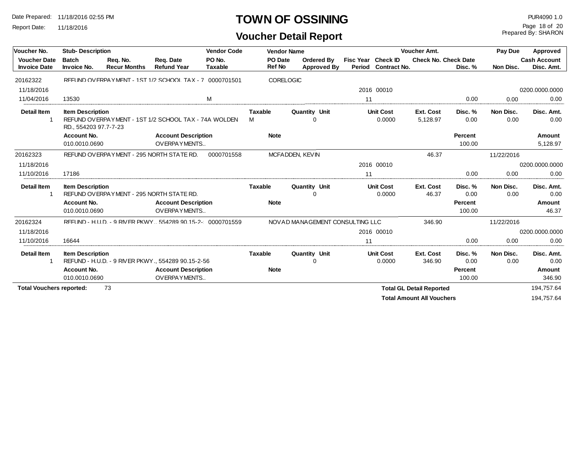Report Date: 11/18/2016

## **TOWN OF OSSINING** PUR4090 1.0

Prepared By: SHARON Page 18 of 20

| Voucher No.                                | <b>Stub-Description</b>                          |                                          |                                                                                  |                          | <b>Vendor Code</b><br><b>Vendor Name</b> |                                  |                    | Voucher Amt.               | Pay Due                          | Approved                   |                   |                                   |
|--------------------------------------------|--------------------------------------------------|------------------------------------------|----------------------------------------------------------------------------------|--------------------------|------------------------------------------|----------------------------------|--------------------|----------------------------|----------------------------------|----------------------------|-------------------|-----------------------------------|
| <b>Voucher Date</b><br><b>Invoice Date</b> | <b>Batch</b><br><b>Invoice No.</b>               | Req. No.<br><b>Recur Months</b>          | Reg. Date<br><b>Refund Year</b>                                                  | PO No.<br><b>Taxable</b> | PO Date<br>Ref No                        | Ordered By<br><b>Approved By</b> | Fisc Year Check ID | Period Contract No.        | <b>Check No. Check Date</b>      | Disc. %                    | Non Disc.         | <b>Cash Account</b><br>Disc. Amt. |
| 20162322                                   |                                                  |                                          | REFUND OVERPAYMENT - 1ST 1/2 SCHOOL TAX - 7 0000701501                           |                          |                                          | <b>CORELOGIC</b>                 |                    |                            |                                  |                            |                   |                                   |
| 11/18/2016                                 |                                                  |                                          |                                                                                  |                          |                                          |                                  |                    | 2016 00010                 |                                  |                            |                   | 0200.0000.0000                    |
| 11/04/2016                                 | 13530                                            |                                          | M                                                                                |                          |                                          |                                  | 11                 |                            |                                  | 0.00                       | 0.00              | 0.00                              |
| <b>Detail Item</b>                         | <b>Item Description</b><br>RD., 554203 97.7-7-23 |                                          | REFUND OVERPAYMENT - 1ST 1/2 SCHOOL TAX - 74A WOLDEN                             |                          | <b>Taxable</b><br>м                      | Quantity Unit<br>$\Omega$        |                    | <b>Unit Cost</b><br>0.0000 | Ext. Cost<br>5,128.97            | Disc. %<br>0.00            | Non Disc.<br>0.00 | Disc. Amt.<br>0.00                |
|                                            | Account No.<br>010.0010.0690                     |                                          | <b>Account Description</b><br>OVERPAYMENTS                                       |                          | <b>Note</b>                              |                                  |                    |                            |                                  | Percent<br>100.00          |                   | Amount<br>5,128.97                |
| 20162323                                   |                                                  |                                          | REFUND OVERPAYMENT - 295 NORTH STATE RD.                                         | 0000701558               |                                          | MCFADDEN, KEVIN                  |                    |                            | 46.37                            |                            | 11/22/2016        |                                   |
| 11/18/2016                                 |                                                  |                                          |                                                                                  |                          |                                          |                                  |                    | 2016 00010                 |                                  |                            |                   | 0200.0000.0000                    |
| 11/10/2016                                 | 17186                                            |                                          |                                                                                  |                          |                                          |                                  | 11                 |                            |                                  | 0.00                       | 0.00              | 0.00                              |
| <b>Detail Item</b>                         | <b>Item Description</b>                          | REFUND OVERPAYMENT - 295 NORTH STATE RD. |                                                                                  |                          | <b>Taxable</b>                           | Quantity Unit<br>ი               |                    | <b>Unit Cost</b><br>0.0000 | Ext. Cost<br>46.37               | Disc. %<br>0.00            | Non Disc.<br>0.00 | Disc. Amt.<br>0.00                |
|                                            | Account No.<br>010.0010.0690                     |                                          | <b>Account Description</b><br>OVERPAYMENTS                                       |                          | <b>Note</b>                              |                                  |                    |                            |                                  | Percent<br>100.00          |                   | <b>Amount</b><br>46.37            |
| 20162324                                   |                                                  |                                          | RFFUND - H.U.D. - 9 RIV FR PKWY554289 90.15-2- 0000701559                        |                          |                                          | NOVAD MANAGEMENT CONSULTING LLC  |                    |                            | 346.90                           |                            | 11/22/2016        |                                   |
| 11/18/2016                                 |                                                  |                                          |                                                                                  |                          |                                          |                                  |                    | 2016 00010                 |                                  |                            |                   | 0200.0000.0000                    |
| 11/10/2016                                 | 16644                                            |                                          |                                                                                  |                          |                                          |                                  | 11                 |                            |                                  | 0.00                       | 0.00              | 0.00                              |
| <b>Detail Item</b>                         | <b>Item Description</b><br><b>Account No.</b>    |                                          | REFUND - H.U.D. - 9 RIVER PKWY., 554289 90.15-2-56<br><b>Account Description</b> |                          | <b>Taxable</b><br><b>Note</b>            | Quantity Unit                    |                    | <b>Unit Cost</b><br>0.0000 | Ext. Cost<br>346.90              | Disc. %<br>0.00<br>Percent | Non Disc.<br>0.00 | Disc. Amt.<br>0.00<br>Amount      |
|                                            | 010.0010.0690                                    |                                          | OVERPAYMENTS                                                                     |                          |                                          |                                  |                    |                            |                                  | 100.00                     |                   | 346.90                            |
| <b>Total Vouchers reported:</b>            |                                                  | 73                                       |                                                                                  |                          |                                          |                                  |                    |                            | <b>Total GL Detail Reported</b>  |                            |                   | 194,757.64                        |
|                                            |                                                  |                                          |                                                                                  |                          |                                          |                                  |                    |                            | <b>Total Amount All Vouchers</b> |                            |                   | 194,757.64                        |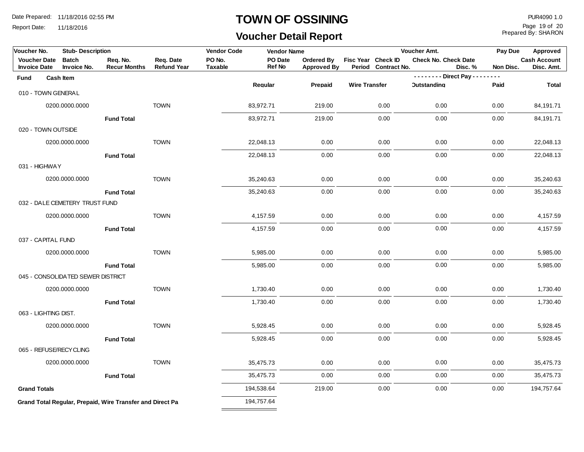Report Date: 11/18/2016

#### **TOWN OF OSSINING** PUR4090 1.0

**Voucher Detail Report**

Prepared By: SHARON Page 19 of 20

| Voucher No.<br><b>Stub-Description</b> |  |                                   | <b>Vendor Code</b>                                        | <b>Vendor Name</b> |                |                          |                    | Voucher Amt.         |                     | Pay Due                     | Approved                                |           |                     |
|----------------------------------------|--|-----------------------------------|-----------------------------------------------------------|--------------------|----------------|--------------------------|--------------------|----------------------|---------------------|-----------------------------|-----------------------------------------|-----------|---------------------|
| <b>Voucher Date</b>                    |  | <b>Batch</b>                      | Req. No.                                                  | Req. Date          | PO No.         | PO Date<br><b>Ref No</b> | Ordered By         | Fisc Year Check ID   |                     | <b>Check No. Check Date</b> |                                         |           | <b>Cash Account</b> |
| <b>Invoice Date</b>                    |  | Invoice No.                       | <b>Recur Months</b>                                       | <b>Refund Year</b> | <b>Taxable</b> |                          | <b>Approved By</b> |                      | Period Contract No. |                             | Disc. %<br>-------- Direct Pay -------- | Non Disc. | Disc. Amt.          |
| Fund                                   |  | Cash Item                         |                                                           |                    |                | Regular                  | Prepaid            | <b>Wire Transfer</b> |                     | <b>Outstanding</b>          |                                         | Paid      | <b>Total</b>        |
| 010 - TOWN GENERAL                     |  |                                   |                                                           |                    |                |                          |                    |                      |                     |                             |                                         |           |                     |
|                                        |  | 0200.0000.0000                    |                                                           | <b>TOWN</b>        |                | 83,972.71                | 219.00             |                      | 0.00                | 0.00                        |                                         | 0.00      | 84,191.71           |
|                                        |  |                                   | <b>Fund Total</b>                                         |                    |                | 83,972.71                | 219.00             |                      | 0.00                | 0.00                        |                                         | 0.00      | 84,191.71           |
| 020 - TOWN OUTSIDE                     |  |                                   |                                                           |                    |                |                          |                    |                      |                     |                             |                                         |           |                     |
|                                        |  | 0200.0000.0000                    |                                                           | <b>TOWN</b>        |                | 22,048.13                | 0.00               |                      | 0.00                | 0.00                        |                                         | 0.00      | 22,048.13           |
|                                        |  |                                   | <b>Fund Total</b>                                         |                    |                | 22,048.13                | 0.00               |                      | 0.00                | 0.00                        |                                         | 0.00      | 22,048.13           |
| 031 - HIGHWAY                          |  |                                   |                                                           |                    |                |                          |                    |                      |                     |                             |                                         |           |                     |
|                                        |  | 0200.0000.0000                    |                                                           | <b>TOWN</b>        |                | 35,240.63                | 0.00               |                      | 0.00                | 0.00                        |                                         | 0.00      | 35,240.63           |
|                                        |  |                                   | <b>Fund Total</b>                                         |                    |                | 35,240.63                | 0.00               |                      | 0.00                | 0.00                        |                                         | 0.00      | 35,240.63           |
|                                        |  | 032 - DALE CEMETERY TRUST FUND    |                                                           |                    |                |                          |                    |                      |                     |                             |                                         |           |                     |
|                                        |  | 0200.0000.0000                    |                                                           | <b>TOWN</b>        |                | 4,157.59                 | 0.00               |                      | 0.00                | 0.00                        |                                         | 0.00      | 4,157.59            |
|                                        |  |                                   | <b>Fund Total</b>                                         |                    |                | 4,157.59                 | 0.00               |                      | 0.00                | 0.00                        |                                         | 0.00      | 4,157.59            |
| 037 - CAPITAL FUND                     |  |                                   |                                                           |                    |                |                          |                    |                      |                     |                             |                                         |           |                     |
|                                        |  | 0200.0000.0000                    |                                                           | <b>TOWN</b>        |                | 5,985.00                 | 0.00               |                      | 0.00                | 0.00                        |                                         | 0.00      | 5,985.00            |
|                                        |  |                                   | <b>Fund Total</b>                                         |                    |                | 5,985.00                 | 0.00               |                      | 0.00                | 0.00                        |                                         | 0.00      | 5,985.00            |
|                                        |  | 045 - CONSOLIDATED SEWER DISTRICT |                                                           |                    |                |                          |                    |                      |                     |                             |                                         |           |                     |
|                                        |  | 0200.0000.0000                    |                                                           | <b>TOWN</b>        |                | 1,730.40                 | 0.00               |                      | 0.00                | 0.00                        |                                         | 0.00      | 1,730.40            |
|                                        |  |                                   | <b>Fund Total</b>                                         |                    |                | 1,730.40                 | 0.00               |                      | 0.00                | 0.00                        |                                         | 0.00      | 1,730.40            |
| 063 - LIGHTING DIST.                   |  |                                   |                                                           |                    |                |                          |                    |                      |                     |                             |                                         |           |                     |
|                                        |  | 0200.0000.0000                    |                                                           | <b>TOWN</b>        |                | 5,928.45                 | 0.00               |                      | 0.00                | 0.00                        |                                         | 0.00      | 5,928.45            |
|                                        |  |                                   | <b>Fund Total</b>                                         |                    |                | 5,928.45                 | 0.00               |                      | 0.00                | 0.00                        |                                         | 0.00      | 5,928.45            |
|                                        |  | 065 - REFUSE/RECY CLING           |                                                           |                    |                |                          |                    |                      |                     |                             |                                         |           |                     |
|                                        |  | 0200.0000.0000                    |                                                           | <b>TOWN</b>        |                | 35,475.73                | 0.00               |                      | 0.00                | 0.00                        |                                         | 0.00      | 35,475.73           |
|                                        |  |                                   | <b>Fund Total</b>                                         |                    |                | 35,475.73                | 0.00               |                      | 0.00                | 0.00                        |                                         | 0.00      | 35,475.73           |
| <b>Grand Totals</b>                    |  |                                   |                                                           |                    |                | 194,538.64               | 219.00             |                      | 0.00                | 0.00                        |                                         | 0.00      | 194,757.64          |
|                                        |  |                                   | Grand Total Regular, Prepaid, Wire Transfer and Direct Pa |                    |                | 194,757.64               |                    |                      |                     |                             |                                         |           |                     |